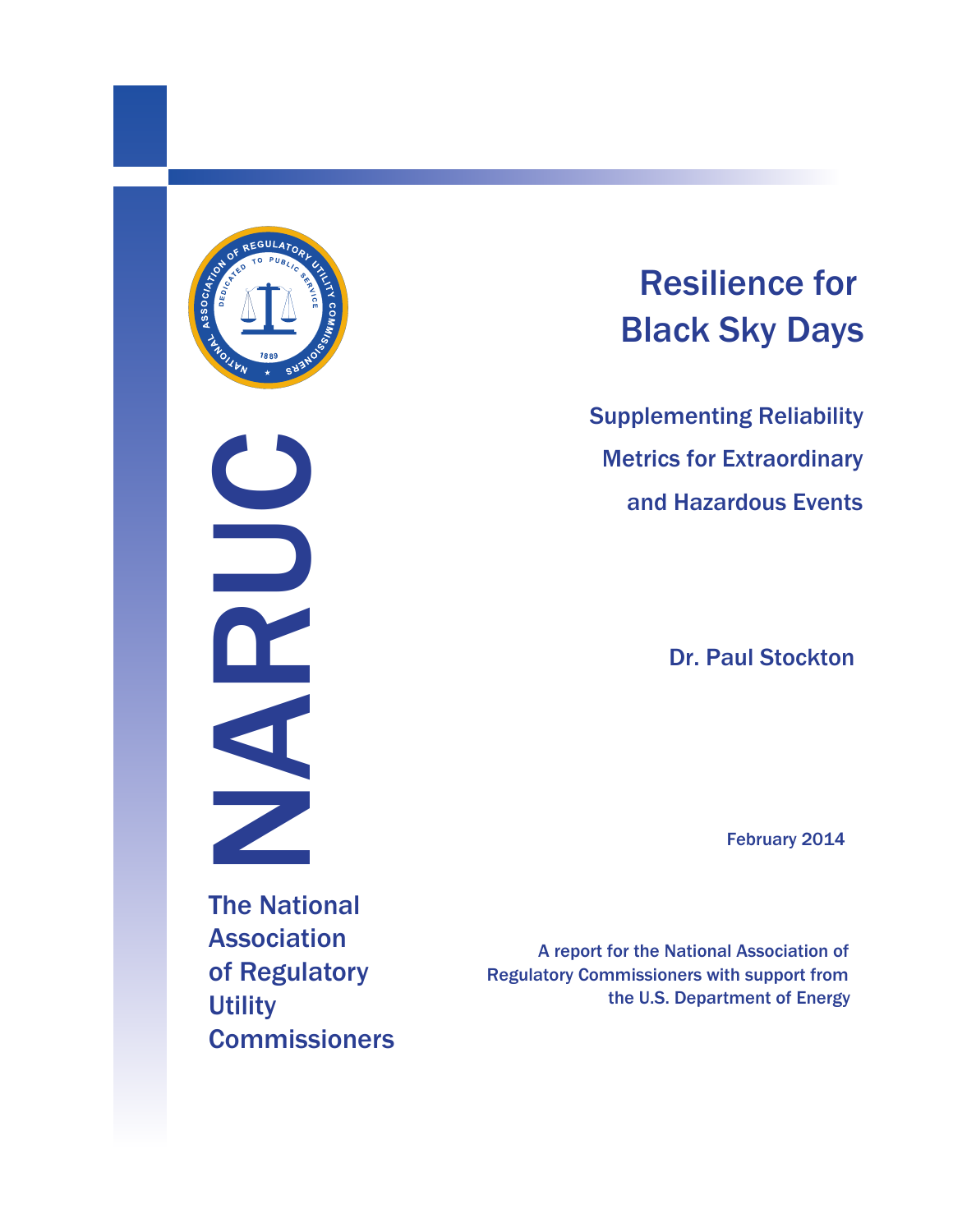

NARUCT



 Supplementing Reliability Metrics for Extraordinary and Hazardous Events

Dr. Paul Stockton

February 2014

The National Association of Regulatory **Utility Commissioners** 

 A report for the National Association of Regulatory Commissioners with support from the U.S. Department of Energy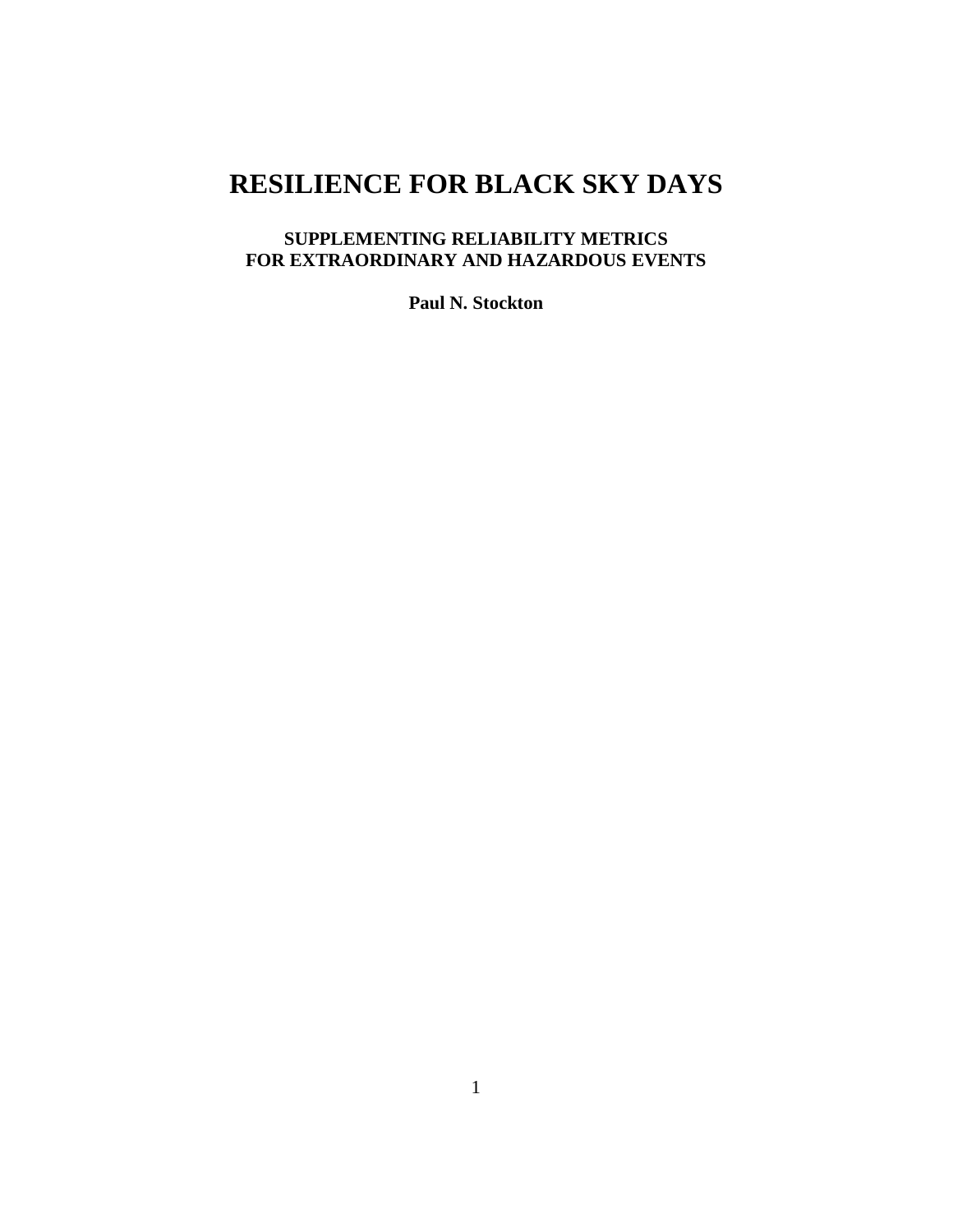# **RESILIENCE FOR BLACK SKY DAYS**

## **SUPPLEMENTING RELIABILITY METRICS FOR EXTRAORDINARY AND HAZARDOUS EVENTS**

**Paul N. Stockton**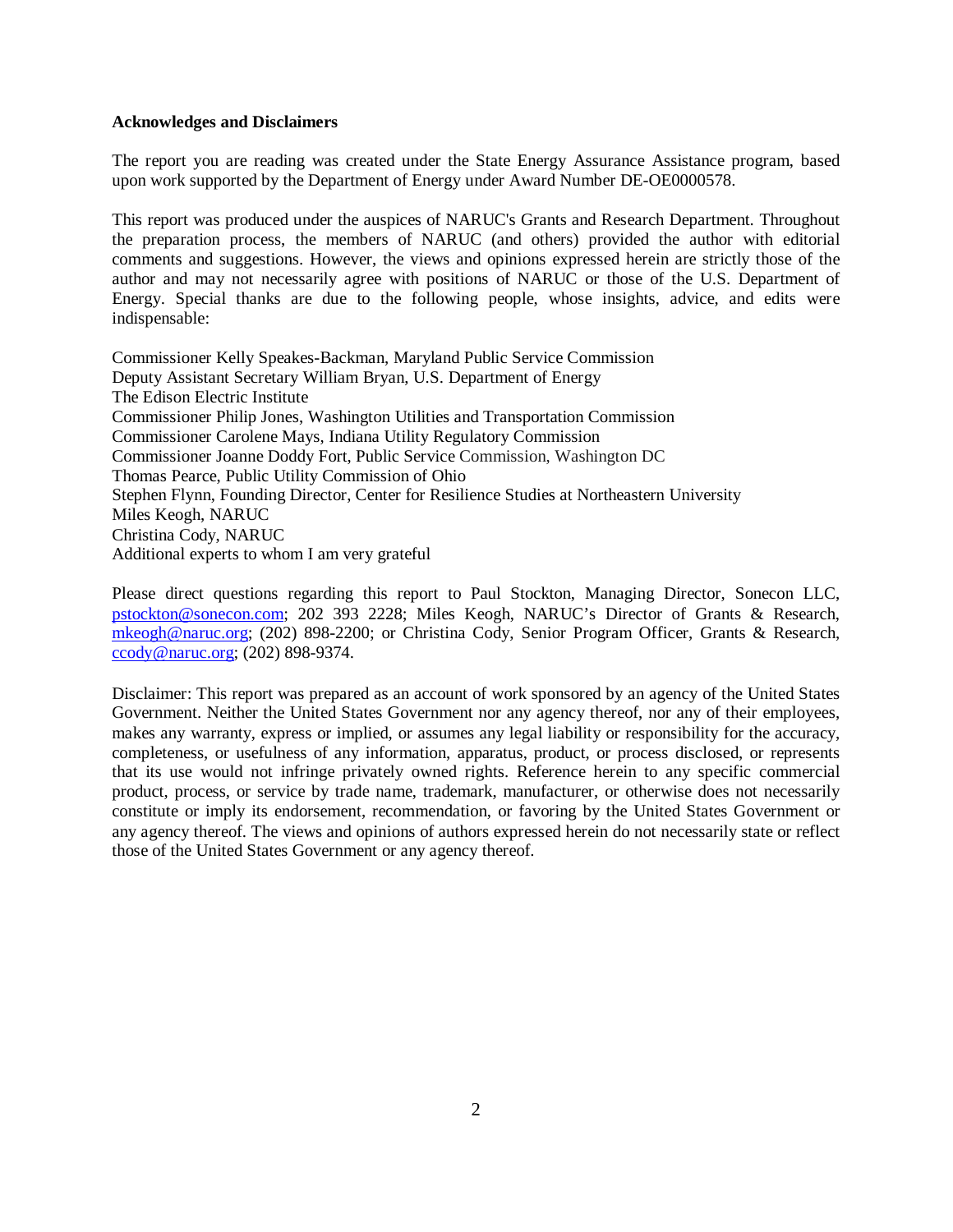#### **Acknowledges and Disclaimers**

The report you are reading was created under the State Energy Assurance Assistance program, based upon work supported by the Department of Energy under Award Number DE-OE0000578.

This report was produced under the auspices of NARUC's Grants and Research Department. Throughout the preparation process, the members of NARUC (and others) provided the author with editorial comments and suggestions. However, the views and opinions expressed herein are strictly those of the author and may not necessarily agree with positions of NARUC or those of the U.S. Department of Energy. Special thanks are due to the following people, whose insights, advice, and edits were indispensable:

Commissioner Kelly Speakes-Backman, Maryland Public Service Commission Deputy Assistant Secretary William Bryan, U.S. Department of Energy The Edison Electric Institute Commissioner Philip Jones, [Washington Utilities and Transportation Commission](http://www.google.com/url?sa=t&rct=j&q=&esrc=s&frm=1&source=web&cd=1&cad=rja&ved=0CCQQFjAA&url=http%3A%2F%2Fwww.utc.wa.gov%2FaboutUs%2FPages%2FphilJones.aspx&ei=lvbvUujDDOm2yAHquoGoAw&usg=AFQjCNHdDMOMZxr0460U-txvht8XVrbudA&bvm=bv.60444564,d.aWc) Commissioner Carolene Mays, Indiana Utility Regulatory Commission Commissioner Joanne Doddy Fort, [Public](http://www.google.com/url?sa=t&rct=j&q=&esrc=s&frm=1&source=web&cd=1&cad=rja&ved=0CCQQFjAA&url=http%3A%2F%2Fwww.utc.wa.gov%2FaboutUs%2FPages%2FphilJones.aspx&ei=lvbvUujDDOm2yAHquoGoAw&usg=AFQjCNHdDMOMZxr0460U-txvht8XVrbudA&bvm=bv.60444564,d.aWc) Service Commission, Washington DC Thomas Pearce, Public Utility Commission of Ohio Stephen Flynn, Founding Director, Center for Resilience Studies at Northeastern University Miles Keogh, NARUC Christina Cody, NARUC Additional experts to whom I am very grateful

Please direct questions regarding this report to Paul Stockton, Managing Director, Sonecon LLC, [pstockton@sonecon.com;](mailto:pstockton@sonecon.com) 202 393 2228; Miles Keogh, NARUC's Director of Grants & Research, [mkeogh@naruc.org;](mailto:mkeogh@naruc.org) (202) 898-2200; or Christina Cody, Senior Program Officer, Grants & Research, [ccody@naruc.org;](mailto:ccody@naruc.org) (202) 898-9374.

Disclaimer: This report was prepared as an account of work sponsored by an agency of the United States Government. Neither the United States Government nor any agency thereof, nor any of their employees, makes any warranty, express or implied, or assumes any legal liability or responsibility for the accuracy, completeness, or usefulness of any information, apparatus, product, or process disclosed, or represents that its use would not infringe privately owned rights. Reference herein to any specific commercial product, process, or service by trade name, trademark, manufacturer, or otherwise does not necessarily constitute or imply its endorsement, recommendation, or favoring by the United States Government or any agency thereof. The views and opinions of authors expressed herein do not necessarily state or reflect those of the United States Government or any agency thereof.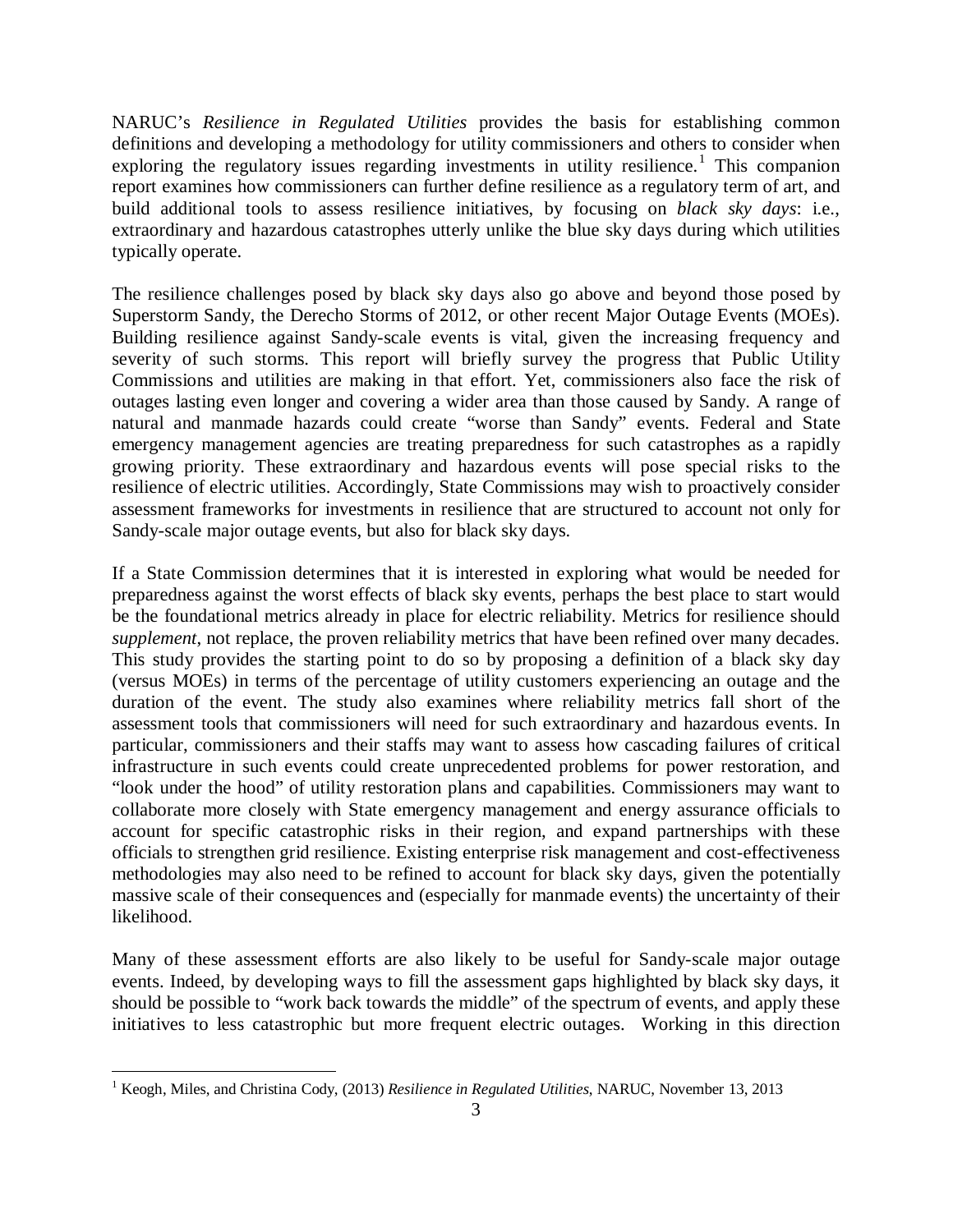NARUC's *Resilience in Regulated Utilities* provides the basis for establishing common definitions and developing a methodology for utility commissioners and others to consider when exploring the regulatory issues regarding investments in utility resilience.<sup>[1](#page-3-0)</sup> This companion report examines how commissioners can further define resilience as a regulatory term of art, and build additional tools to assess resilience initiatives, by focusing on *black sky days*: i.e., extraordinary and hazardous catastrophes utterly unlike the blue sky days during which utilities typically operate.

The resilience challenges posed by black sky days also go above and beyond those posed by Superstorm Sandy, the Derecho Storms of 2012, or other recent Major Outage Events (MOEs). Building resilience against Sandy-scale events is vital, given the increasing frequency and severity of such storms. This report will briefly survey the progress that Public Utility Commissions and utilities are making in that effort. Yet, commissioners also face the risk of outages lasting even longer and covering a wider area than those caused by Sandy. A range of natural and manmade hazards could create "worse than Sandy" events. Federal and State emergency management agencies are treating preparedness for such catastrophes as a rapidly growing priority. These extraordinary and hazardous events will pose special risks to the resilience of electric utilities. Accordingly, State Commissions may wish to proactively consider assessment frameworks for investments in resilience that are structured to account not only for Sandy-scale major outage events, but also for black sky days.

If a State Commission determines that it is interested in exploring what would be needed for preparedness against the worst effects of black sky events, perhaps the best place to start would be the foundational metrics already in place for electric reliability. Metrics for resilience should *supplement*, not replace, the proven reliability metrics that have been refined over many decades. This study provides the starting point to do so by proposing a definition of a black sky day (versus MOEs) in terms of the percentage of utility customers experiencing an outage and the duration of the event. The study also examines where reliability metrics fall short of the assessment tools that commissioners will need for such extraordinary and hazardous events. In particular, commissioners and their staffs may want to assess how cascading failures of critical infrastructure in such events could create unprecedented problems for power restoration, and "look under the hood" of utility restoration plans and capabilities. Commissioners may want to collaborate more closely with State emergency management and energy assurance officials to account for specific catastrophic risks in their region, and expand partnerships with these officials to strengthen grid resilience. Existing enterprise risk management and cost-effectiveness methodologies may also need to be refined to account for black sky days, given the potentially massive scale of their consequences and (especially for manmade events) the uncertainty of their likelihood.

Many of these assessment efforts are also likely to be useful for Sandy-scale major outage events. Indeed, by developing ways to fill the assessment gaps highlighted by black sky days, it should be possible to "work back towards the middle" of the spectrum of events, and apply these initiatives to less catastrophic but more frequent electric outages. Working in this direction

<span id="page-3-0"></span><sup>&</sup>lt;sup>1</sup> Keogh, Miles, and Christina Cody, (2013) *Resilience in Regulated Utilities*, NARUC, November 13, 2013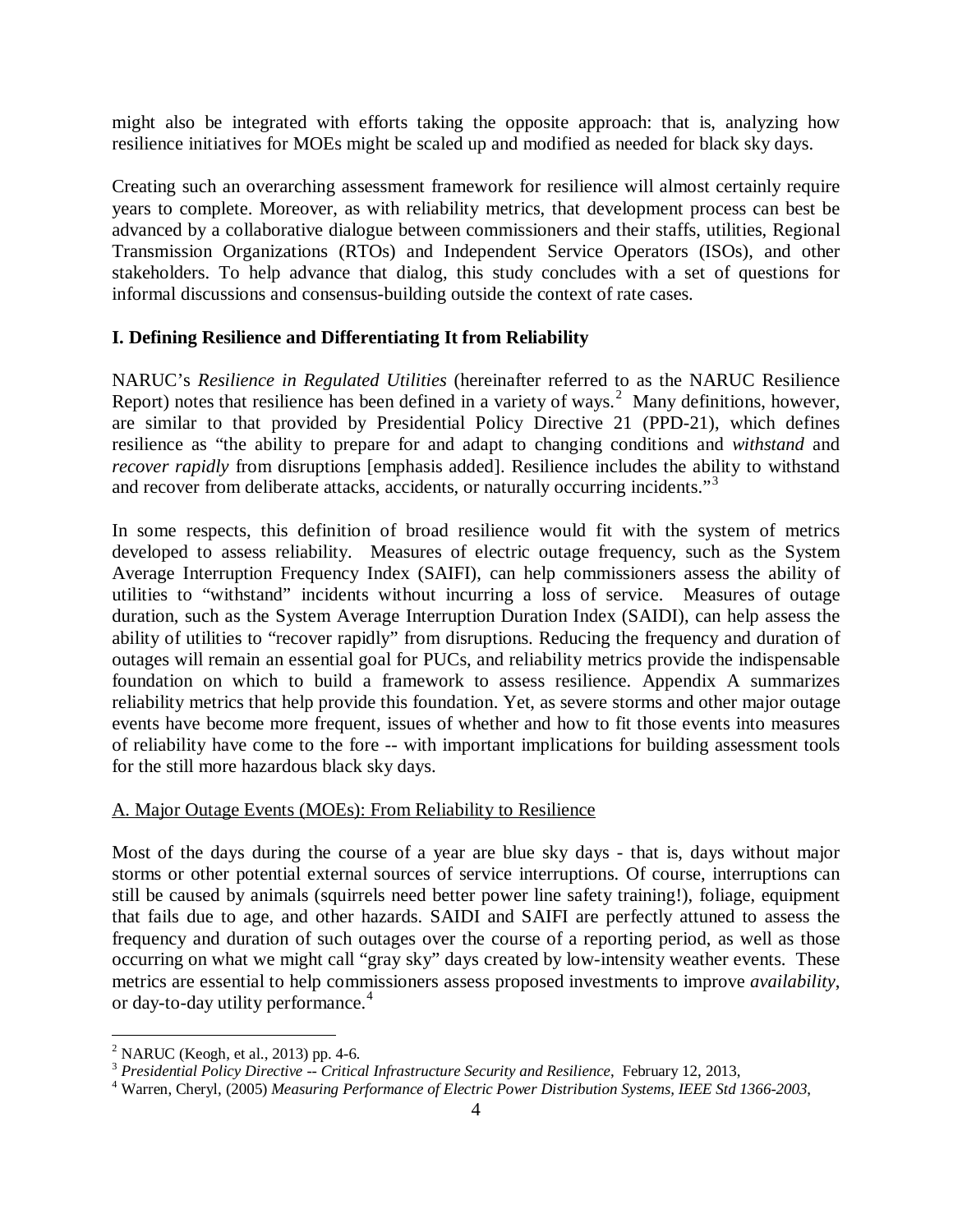might also be integrated with efforts taking the opposite approach: that is, analyzing how resilience initiatives for MOEs might be scaled up and modified as needed for black sky days.

Creating such an overarching assessment framework for resilience will almost certainly require years to complete. Moreover, as with reliability metrics, that development process can best be advanced by a collaborative dialogue between commissioners and their staffs, utilities, Regional Transmission Organizations (RTOs) and Independent Service Operators (ISOs), and other stakeholders. To help advance that dialog, this study concludes with a set of questions for informal discussions and consensus-building outside the context of rate cases.

## **I. Defining Resilience and Differentiating It from Reliability**

NARUC's *Resilience in Regulated Utilities* (hereinafter referred to as the NARUC Resilience Report) notes that resilience has been defined in a variety of ways.<sup>[2](#page-4-0)</sup> Many definitions, however, are similar to that provided by Presidential Policy Directive 21 (PPD-21), which defines resilience as "the ability to prepare for and adapt to changing conditions and *withstand* and *recover rapidly* from disruptions [emphasis added]. Resilience includes the ability to withstand and recover from deliberate attacks, accidents, or naturally occurring incidents."<sup>[3](#page-4-1)</sup>

In some respects, this definition of broad resilience would fit with the system of metrics developed to assess reliability. Measures of electric outage frequency, such as the System Average Interruption Frequency Index (SAIFI), can help commissioners assess the ability of utilities to "withstand" incidents without incurring a loss of service. Measures of outage duration, such as the System Average Interruption Duration Index (SAIDI), can help assess the ability of utilities to "recover rapidly" from disruptions. Reducing the frequency and duration of outages will remain an essential goal for PUCs, and reliability metrics provide the indispensable foundation on which to build a framework to assess resilience. Appendix A summarizes reliability metrics that help provide this foundation. Yet, as severe storms and other major outage events have become more frequent, issues of whether and how to fit those events into measures of reliability have come to the fore -- with important implications for building assessment tools for the still more hazardous black sky days.

## A. Major Outage Events (MOEs): From Reliability to Resilience

Most of the days during the course of a year are blue sky days - that is, days without major storms or other potential external sources of service interruptions. Of course, interruptions can still be caused by animals (squirrels need better power line safety training!), foliage, equipment that fails due to age, and other hazards. SAIDI and SAIFI are perfectly attuned to assess the frequency and duration of such outages over the course of a reporting period, as well as those occurring on what we might call "gray sky" days created by low-intensity weather events. These metrics are essential to help commissioners assess proposed investments to improve *availability*, or day-to-day utility performance.<sup>[4](#page-4-2)</sup>

<span id="page-4-2"></span><span id="page-4-1"></span>

<span id="page-4-0"></span><sup>&</sup>lt;sup>2</sup> NARUC (Keogh, et al., 2013) pp. 4-6.<br><sup>3</sup> Presidential Policy Directive -- Critical Infrastructure Security and Resilience, February 12, 2013,<br><sup>4</sup> Warren, Cheryl, (2005) Measuring Performance of Electric Power Distribu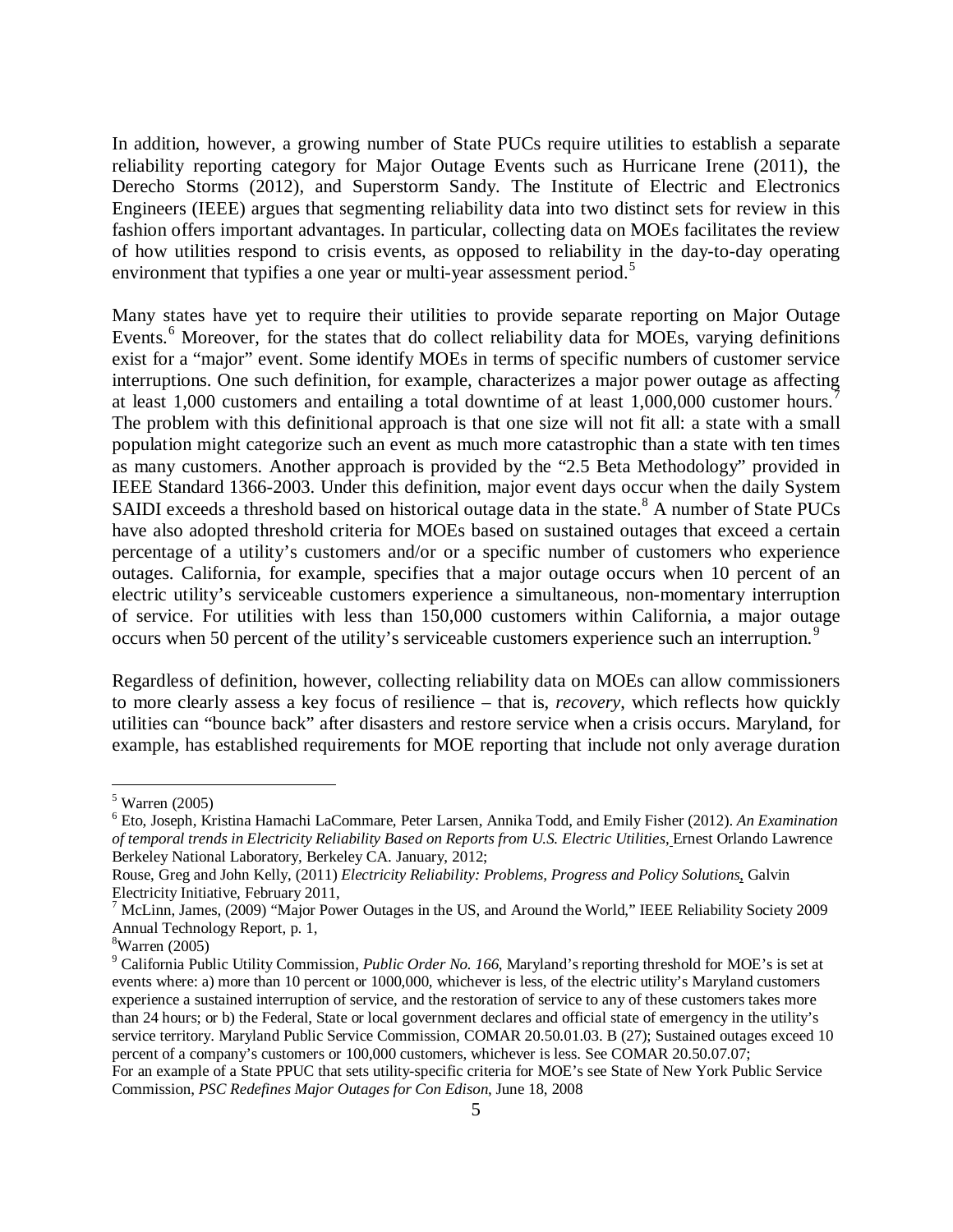In addition, however, a growing number of State PUCs require utilities to establish a separate reliability reporting category for Major Outage Events such as Hurricane Irene (2011), the Derecho Storms (2012), and Superstorm Sandy. The Institute of Electric and Electronics Engineers (IEEE) argues that segmenting reliability data into two distinct sets for review in this fashion offers important advantages. In particular, collecting data on MOEs facilitates the review of how utilities respond to crisis events, as opposed to reliability in the day-to-day operating environment that typifies a one year or multi-year assessment period.<sup>[5](#page-5-0)</sup>

Many states have yet to require their utilities to provide separate reporting on Major Outage Events. [6](#page-5-1) Moreover, for the states that do collect reliability data for MOEs, varying definitions exist for a "major" event. Some identify MOEs in terms of specific numbers of customer service interruptions. One such definition, for example, characterizes a major power outage as affecting at least 1,000 customers and entailing a total downtime of at least  $1,000,000$  customer hours.<sup>[7](#page-5-2)</sup> The problem with this definitional approach is that one size will not fit all: a state with a small population might categorize such an event as much more catastrophic than a state with ten times as many customers. Another approach is provided by the "2.5 Beta Methodology" provided in IEEE Standard 1366-2003. Under this definition, major event days occur when the daily System SAIDI exceeds a threshold based on historical outage data in the state.<sup>[8](#page-5-3)</sup> A number of State PUCs have also adopted threshold criteria for MOEs based on sustained outages that exceed a certain percentage of a utility's customers and/or or a specific number of customers who experience outages. California, for example, specifies that a major outage occurs when 10 percent of an electric utility's serviceable customers experience a simultaneous, non-momentary interruption of service. For utilities with less than 150,000 customers within California, a major outage occurs when 50 percent of the utility's serviceable customers experience such an interruption.<sup>[9](#page-5-4)</sup>

Regardless of definition, however, collecting reliability data on MOEs can allow commissioners to more clearly assess a key focus of resilience – that is, *recovery*, which reflects how quickly utilities can "bounce back" after disasters and restore service when a crisis occurs. Maryland, for example, has established requirements for MOE reporting that include not only average duration

<span id="page-5-0"></span> $<sup>5</sup>$  Warren (2005)</sup>

<span id="page-5-1"></span><sup>6</sup> Eto, Joseph, Kristina Hamachi LaCommare, Peter Larsen, Annika Todd, and Emily Fisher (2012). *An Examination of temporal trends in Electricity Reliability Based on Reports from U.S. Electric Utilities*, Ernest Orlando Lawrence Berkeley National Laboratory, Berkeley CA. January, 2012;

Rouse, Greg and John Kelly, (2011) *Electricity Reliability: Problems, Progress and Policy Solutions*, Galvin Electricity Initiative, February 2011,<br>
<sup>7</sup> McLinn, James, (2009) "Major Power Outages in the US, and Around the World," IEEE Reliability Society 2009

<span id="page-5-2"></span>Annual Technology Report, p. 1,

<sup>8</sup> Warren (2005)

<span id="page-5-4"></span><span id="page-5-3"></span><sup>&</sup>lt;sup>9</sup> California Public Utility Commission, *Public Order No. 166*, Maryland's reporting threshold for MOE's is set at events where: a) more than 10 percent or 1000,000, whichever is less, of the electric utility's Maryland customers experience a sustained interruption of service, and the restoration of service to any of these customers takes more than 24 hours; or b) the Federal, State or local government declares and official state of emergency in the utility's service territory. Maryland Public Service Commission, COMAR 20.50.01.03. B (27); Sustained outages exceed 10 percent of a company's customers or 100,000 customers, whichever is less. See COMAR 20.50.07.07; For an example of a State PPUC that sets utility-specific criteria for MOE's see State of New York Public Service Commission, *PSC Redefines Major Outages for Con Edison*, June 18, 2008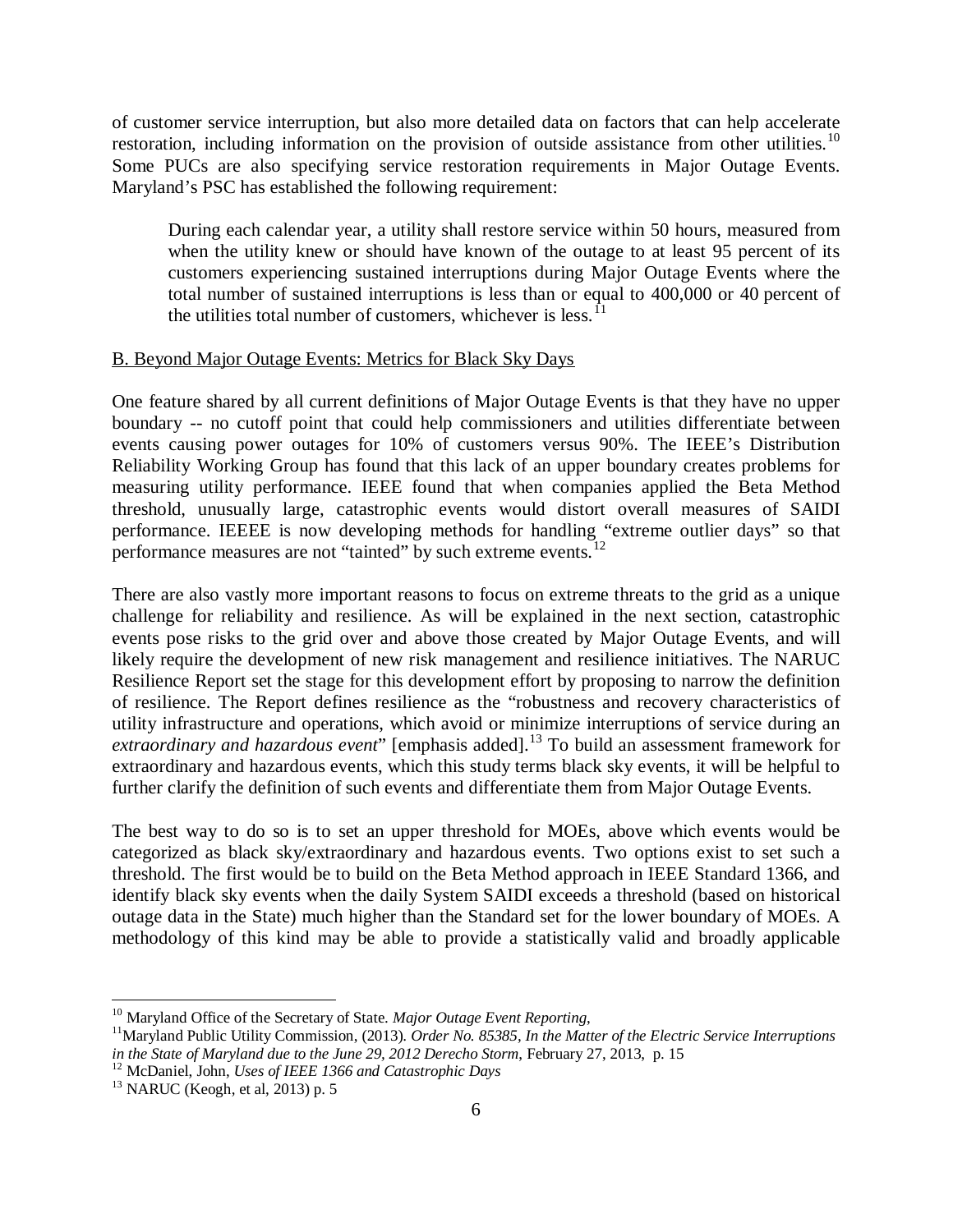of customer service interruption, but also more detailed data on factors that can help accelerate restoration, including information on the provision of outside assistance from other utilities.<sup>[10](#page-6-0)</sup> Some PUCs are also specifying service restoration requirements in Major Outage Events. Maryland's PSC has established the following requirement:

During each calendar year, a utility shall restore service within 50 hours, measured from when the utility knew or should have known of the outage to at least 95 percent of its customers experiencing sustained interruptions during Major Outage Events where the total number of sustained interruptions is less than or equal to 400,000 or 40 percent of the utilities total number of customers, whichever is less.<sup>1</sup>

#### B. Beyond Major Outage Events: Metrics for Black Sky Days

One feature shared by all current definitions of Major Outage Events is that they have no upper boundary -- no cutoff point that could help commissioners and utilities differentiate between events causing power outages for 10% of customers versus 90%. The IEEE's Distribution Reliability Working Group has found that this lack of an upper boundary creates problems for measuring utility performance. IEEE found that when companies applied the Beta Method threshold, unusually large, catastrophic events would distort overall measures of SAIDI performance. IEEEE is now developing methods for handling "extreme outlier days" so that performance measures are not "tainted" by such extreme events.<sup>[12](#page-6-2)</sup>

There are also vastly more important reasons to focus on extreme threats to the grid as a unique challenge for reliability and resilience. As will be explained in the next section, catastrophic events pose risks to the grid over and above those created by Major Outage Events, and will likely require the development of new risk management and resilience initiatives. The NARUC Resilience Report set the stage for this development effort by proposing to narrow the definition of resilience. The Report defines resilience as the "robustness and recovery characteristics of utility infrastructure and operations, which avoid or minimize interruptions of service during an *extraordinary and hazardous event*" [emphasis added].<sup>[13](#page-6-3)</sup> To build an assessment framework for extraordinary and hazardous events, which this study terms black sky events, it will be helpful to further clarify the definition of such events and differentiate them from Major Outage Events.

The best way to do so is to set an upper threshold for MOEs, above which events would be categorized as black sky/extraordinary and hazardous events. Two options exist to set such a threshold. The first would be to build on the Beta Method approach in IEEE Standard 1366, and identify black sky events when the daily System SAIDI exceeds a threshold (based on historical outage data in the State) much higher than the Standard set for the lower boundary of MOEs. A methodology of this kind may be able to provide a statistically valid and broadly applicable

<span id="page-6-1"></span><span id="page-6-0"></span><sup>&</sup>lt;sup>10</sup> Maryland Office of the Secretary of State. *Major Outage Event Reporting*,<br><sup>11</sup>Maryland Public Utility Commission, (2013). *Order No. 85385, In the Matter of the Electric Service Interruptions*<br>*in the State of Maryla* 

<span id="page-6-2"></span><sup>&</sup>lt;sup>12</sup> McDaniel, John, *Uses of IEEE 1366 and Catastrophic Days* <sup>13</sup> NARUC (Keogh, et al, 2013) p. 5

<span id="page-6-3"></span>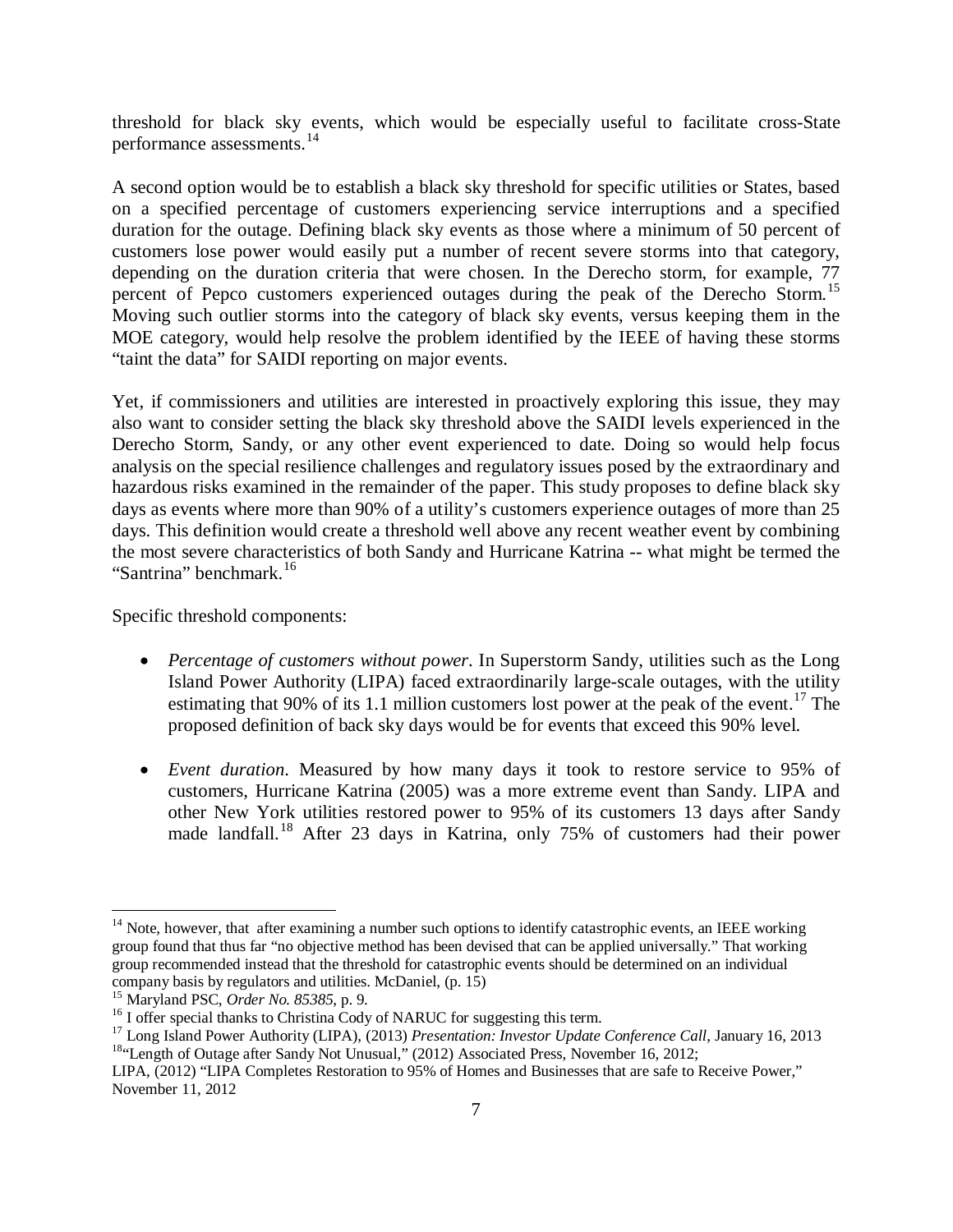threshold for black sky events, which would be especially useful to facilitate cross-State performance assessments. [14](#page-7-0)

A second option would be to establish a black sky threshold for specific utilities or States, based on a specified percentage of customers experiencing service interruptions and a specified duration for the outage. Defining black sky events as those where a minimum of 50 percent of customers lose power would easily put a number of recent severe storms into that category, depending on the duration criteria that were chosen. In the Derecho storm, for example, 77 percent of Pepco customers experienced outages during the peak of the Derecho Storm.<sup>[15](#page-7-1)</sup> Moving such outlier storms into the category of black sky events, versus keeping them in the MOE category, would help resolve the problem identified by the IEEE of having these storms "taint the data" for SAIDI reporting on major events.

Yet, if commissioners and utilities are interested in proactively exploring this issue, they may also want to consider setting the black sky threshold above the SAIDI levels experienced in the Derecho Storm, Sandy, or any other event experienced to date. Doing so would help focus analysis on the special resilience challenges and regulatory issues posed by the extraordinary and hazardous risks examined in the remainder of the paper. This study proposes to define black sky days as events where more than 90% of a utility's customers experience outages of more than 25 days. This definition would create a threshold well above any recent weather event by combining the most severe characteristics of both Sandy and Hurricane Katrina -- what might be termed the "Santrina" benchmark.<sup>[16](#page-7-2)</sup>

Specific threshold components:

- *Percentage of customers without power*. In Superstorm Sandy, utilities such as the Long Island Power Authority (LIPA) faced extraordinarily large-scale outages, with the utility estimating that 90% of its 1.1 million customers lost power at the peak of the event.<sup>[17](#page-7-3)</sup> The proposed definition of back sky days would be for events that exceed this 90% level.
- *Event duration*. Measured by how many days it took to restore service to 95% of customers, Hurricane Katrina (2005) was a more extreme event than Sandy. LIPA and other New York utilities restored power to 95% of its customers 13 days after Sandy made landfall.[18](#page-7-4) After 23 days in Katrina, only 75% of customers had their power

<span id="page-7-0"></span><sup>&</sup>lt;sup>14</sup> Note, however, that after examining a number such options to identify catastrophic events, an IEEE working group found that thus far "no objective method has been devised that can be applied universally." That working group recommended instead that the threshold for catastrophic events should be determined on an individual company basis by regulators and utilities. McDaniel, (p. 15)

<span id="page-7-3"></span><span id="page-7-2"></span>

<span id="page-7-1"></span><sup>&</sup>lt;sup>15</sup> Maryland PSC, *Order No.* 85385, p. 9.<br><sup>16</sup> I offer special thanks to Christina Cody of NARUC for suggesting this term.<br><sup>17</sup> Long Island Power Authority (LIPA), (2013) *Presentation: Investor Update Conference Call*,

<span id="page-7-4"></span>LIPA, (2012) "LIPA Completes Restoration to 95% of Homes and Businesses that are safe to Receive Power," November 11, 2012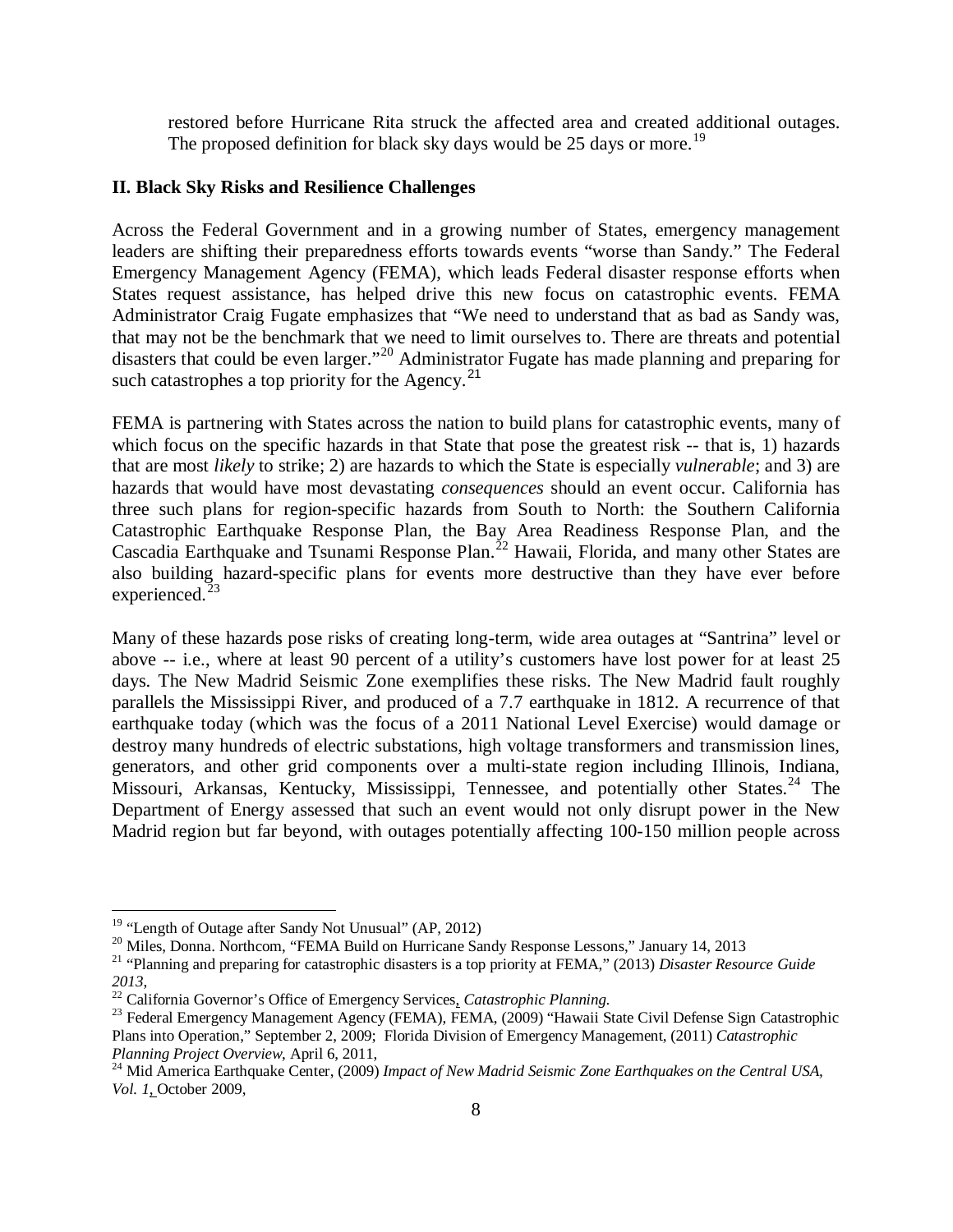restored before Hurricane Rita struck the affected area and created additional outages. The proposed definition for black sky days would be 25 days or more.<sup>[19](#page-8-0)</sup>

#### **II. Black Sky Risks and Resilience Challenges**

Across the Federal Government and in a growing number of States, emergency management leaders are shifting their preparedness efforts towards events "worse than Sandy." The Federal Emergency Management Agency (FEMA), which leads Federal disaster response efforts when States request assistance, has helped drive this new focus on catastrophic events. FEMA Administrator Craig Fugate emphasizes that "We need to understand that as bad as Sandy was, that may not be the benchmark that we need to limit ourselves to. There are threats and potential disasters that could be even larger."[20](#page-8-1) Administrator Fugate has made planning and preparing for such catastrophes a top priority for the Agency. $21$ 

FEMA is partnering with States across the nation to build plans for catastrophic events, many of which focus on the specific hazards in that State that pose the greatest risk -- that is, 1) hazards that are most *likely* to strike; 2) are hazards to which the State is especially *vulnerable*; and 3) are hazards that would have most devastating *consequences* should an event occur. California has three such plans for region-specific hazards from South to North: the Southern California Catastrophic Earthquake Response Plan, the Bay Area Readiness Response Plan, and the Cascadia Earthquake and Tsunami Response Plan.<sup>[22](#page-8-3)</sup> Hawaii, Florida, and many other States are also building hazard-specific plans for events more destructive than they have ever before experienced. $^{23}$ 

Many of these hazards pose risks of creating long-term, wide area outages at "Santrina" level or above -- i.e., where at least 90 percent of a utility's customers have lost power for at least 25 days. The New Madrid Seismic Zone exemplifies these risks. The New Madrid fault roughly parallels the Mississippi River, and produced of a 7.7 earthquake in 1812. A recurrence of that earthquake today (which was the focus of a 2011 National Level Exercise) would damage or destroy many hundreds of electric substations, high voltage transformers and transmission lines, generators, and other grid components over a multi-state region including Illinois, Indiana, Missouri, Arkansas, Kentucky, Mississippi, Tennessee, and potentially other States.<sup>[24](#page-8-5)</sup> The Department of Energy assessed that such an event would not only disrupt power in the New Madrid region but far beyond, with outages potentially affecting 100-150 million people across

<span id="page-8-2"></span>

<span id="page-8-1"></span><span id="page-8-0"></span><sup>&</sup>lt;sup>19</sup> "Length of Outage after Sandy Not Unusual" (AP, 2012)<br><sup>20</sup> Miles, Donna. Northcom, "FEMA Build on Hurricane Sandy Response Lessons," January 14, 2013<br><sup>21</sup> "Planning and preparing for catastrophic disasters is a top p *<sup>2013</sup>*, 22 California Governor's Office of Emergency Services, *Catastrophic Planning*. <sup>23</sup> Federal Emergency Management Agency (FEMA), FEMA, (2009) "Hawaii State Civil Defense Sign Catastrophic

<span id="page-8-3"></span>

<span id="page-8-4"></span>Plans into Operation," September 2, 2009; Florida Division of Emergency Management, (2011) *Catastrophic* 

<span id="page-8-5"></span><sup>&</sup>lt;sup>24</sup> Mid America Earthquake Center, (2009) *Impact of New Madrid Seismic Zone Earthquakes on the Central USA*, *Vol. 1*, October 2009,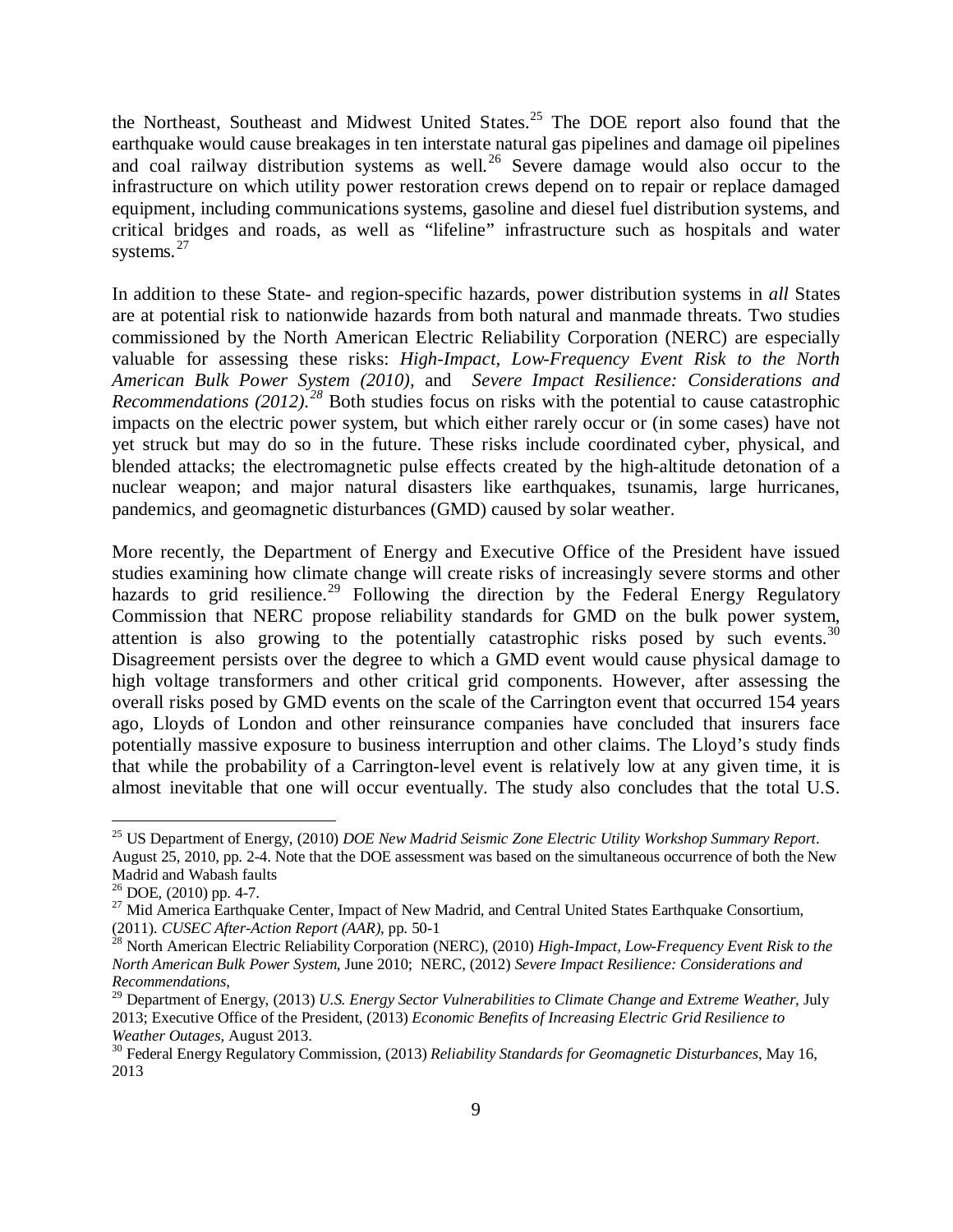the Northeast, Southeast and Midwest United States.<sup>[25](#page-9-0)</sup> The DOE report also found that the earthquake would cause breakages in ten interstate natural gas pipelines and damage oil pipelines and coal railway distribution systems as well. [26](#page-9-1) Severe damage would also occur to the infrastructure on which utility power restoration crews depend on to repair or replace damaged equipment, including communications systems, gasoline and diesel fuel distribution systems, and critical bridges and roads, as well as "lifeline" infrastructure such as hospitals and water systems.<sup>[27](#page-9-2)</sup>

In addition to these State- and region-specific hazards, power distribution systems in *all* States are at potential risk to nationwide hazards from both natural and manmade threats. Two studies commissioned by the North American Electric Reliability Corporation (NERC) are especially valuable for assessing these risks: *High-Impact, Low-Frequency Event Risk to the North American Bulk Power System (2010),* and *Severe Impact Resilience: Considerations and Recommendations (2012).[28](#page-9-3)* Both studies focus on risks with the potential to cause catastrophic impacts on the electric power system, but which either rarely occur or (in some cases) have not yet struck but may do so in the future. These risks include coordinated cyber, physical, and blended attacks; the electromagnetic pulse effects created by the high-altitude detonation of a nuclear weapon; and major natural disasters like earthquakes, tsunamis, large hurricanes, pandemics, and geomagnetic disturbances (GMD) caused by solar weather.

More recently, the Department of Energy and Executive Office of the President have issued studies examining how climate change will create risks of increasingly severe storms and other hazards to grid resilience.<sup>[29](#page-9-4)</sup> Following the direction by the Federal Energy Regulatory Commission that NERC propose reliability standards for GMD on the bulk power system, attention is also growing to the potentially catastrophic risks posed by such events.<sup>[30](#page-9-5)</sup> Disagreement persists over the degree to which a GMD event would cause physical damage to high voltage transformers and other critical grid components. However, after assessing the overall risks posed by GMD events on the scale of the Carrington event that occurred 154 years ago, Lloyds of London and other reinsurance companies have concluded that insurers face potentially massive exposure to business interruption and other claims. The Lloyd's study finds that while the probability of a Carrington-level event is relatively low at any given time, it is almost inevitable that one will occur eventually. The study also concludes that the total U.S.

<span id="page-9-0"></span> <sup>25</sup> US Department of Energy, (2010) *DOE New Madrid Seismic Zone Electric Utility Workshop Summary Report*. August 25, 2010, pp. 2-4. Note that the DOE assessment was based on the simultaneous occurrence of both the New Madrid and Wabash faults<br><sup>26</sup> DOE, (2010) pp. 4-7.

<span id="page-9-2"></span><span id="page-9-1"></span><sup>&</sup>lt;sup>27</sup> Mid America Earthquake Center, Impact of New Madrid, and Central United States Earthquake Consortium, (2011). *CUSEC After-Action Report (AAR)*, pp. 50-1 <sup>28</sup> North American Electric Reliability Corporation (NERC), (2010) *High-Impact, Low-Frequency Event Risk to the* 

<span id="page-9-3"></span>*North American Bulk Power System*, June 2010; NERC, (2012) *Severe Impact Resilience: Considerations and Recommendations*, <sup>29</sup> Department of Energy, (2013) *U.S. Energy Sector Vulnerabilities to Climate Change and Extreme Weather*, July

<span id="page-9-4"></span><sup>2013;</sup> Executive Office of the President, (2013) *Economic Benefits of Increasing Electric Grid Resilience to Weather Outages, August 2013.*<br><sup>30</sup> Federal Energy Regulatory Commission, (2013) *Reliability Standards for Geomagnetic Disturbances*, May 16,

<span id="page-9-5"></span><sup>2013</sup>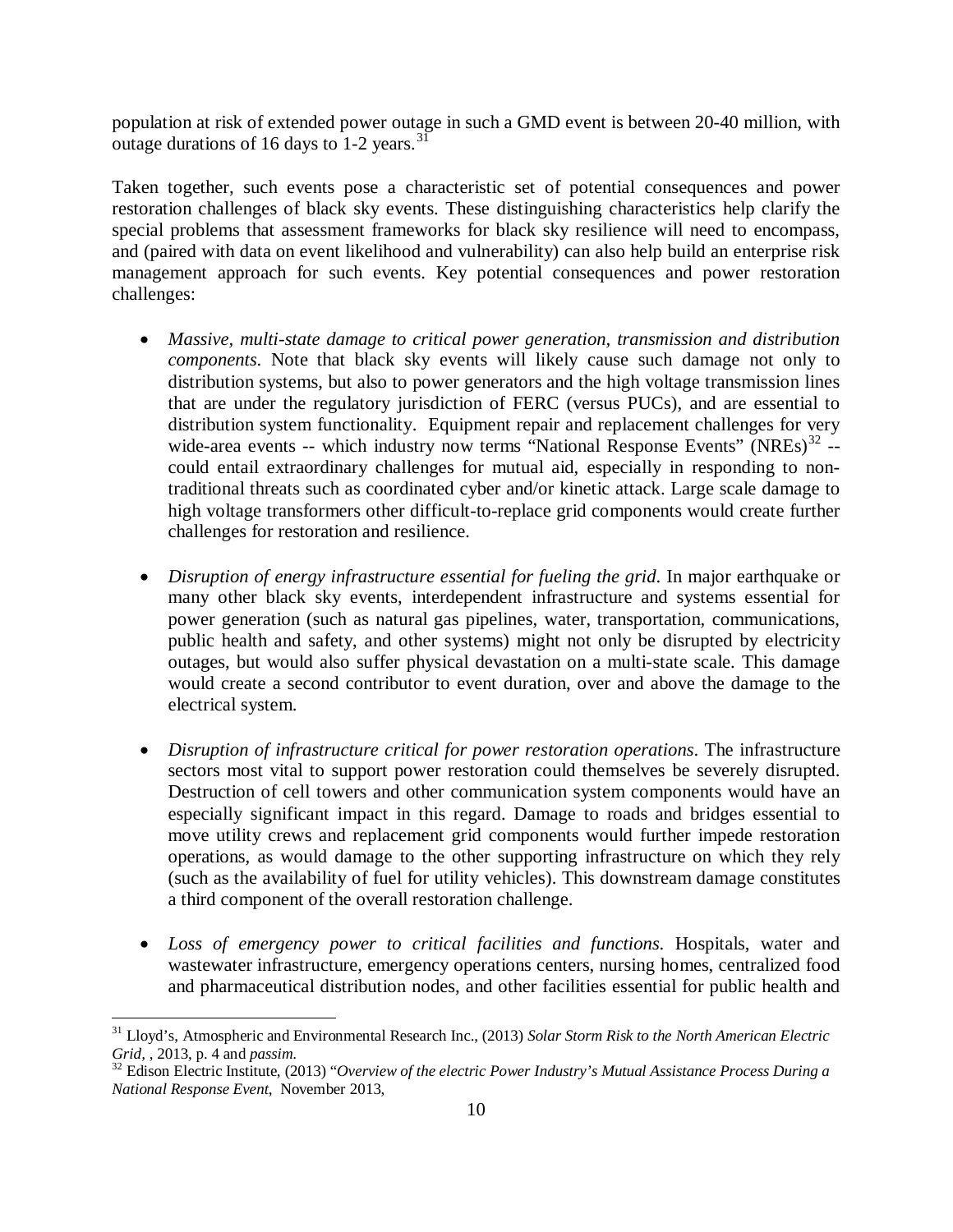population at risk of extended power outage in such a GMD event is between 20-40 million, with outage durations of 16 days to 1-2 years.<sup>[31](#page-10-0)</sup>

Taken together, such events pose a characteristic set of potential consequences and power restoration challenges of black sky events. These distinguishing characteristics help clarify the special problems that assessment frameworks for black sky resilience will need to encompass, and (paired with data on event likelihood and vulnerability) can also help build an enterprise risk management approach for such events. Key potential consequences and power restoration challenges:

- *Massive, multi-state damage to critical power generation, transmission and distribution components*. Note that black sky events will likely cause such damage not only to distribution systems, but also to power generators and the high voltage transmission lines that are under the regulatory jurisdiction of FERC (versus PUCs), and are essential to distribution system functionality. Equipment repair and replacement challenges for very wide-area events -- which industry now terms "National Response Events" (NREs)<sup>[32](#page-10-1)</sup> -could entail extraordinary challenges for mutual aid, especially in responding to nontraditional threats such as coordinated cyber and/or kinetic attack. Large scale damage to high voltage transformers other difficult-to-replace grid components would create further challenges for restoration and resilience.
- *Disruption of energy infrastructure essential for fueling the grid.* In major earthquake or many other black sky events, interdependent infrastructure and systems essential for power generation (such as natural gas pipelines, water, transportation, communications, public health and safety, and other systems) might not only be disrupted by electricity outages, but would also suffer physical devastation on a multi-state scale. This damage would create a second contributor to event duration, over and above the damage to the electrical system.
- *Disruption of infrastructure critical for power restoration operations*. The infrastructure sectors most vital to support power restoration could themselves be severely disrupted. Destruction of cell towers and other communication system components would have an especially significant impact in this regard. Damage to roads and bridges essential to move utility crews and replacement grid components would further impede restoration operations, as would damage to the other supporting infrastructure on which they rely (such as the availability of fuel for utility vehicles). This downstream damage constitutes a third component of the overall restoration challenge.
- *Loss of emergency power to critical facilities and functions*. Hospitals, water and wastewater infrastructure, emergency operations centers, nursing homes, centralized food and pharmaceutical distribution nodes, and other facilities essential for public health and

<span id="page-10-0"></span> <sup>31</sup> Lloyd's, Atmospheric and Environmental Research Inc., (2013) *Solar Storm Risk to the North American Electric Grid,* , 2013, p. 4 and *passim.*<br><sup>32</sup> Edison Electric Institute, (2013) "*Overview of the electric Power Industry's Mutual Assistance Process During a* 

<span id="page-10-1"></span>*National Response Event*, November 2013,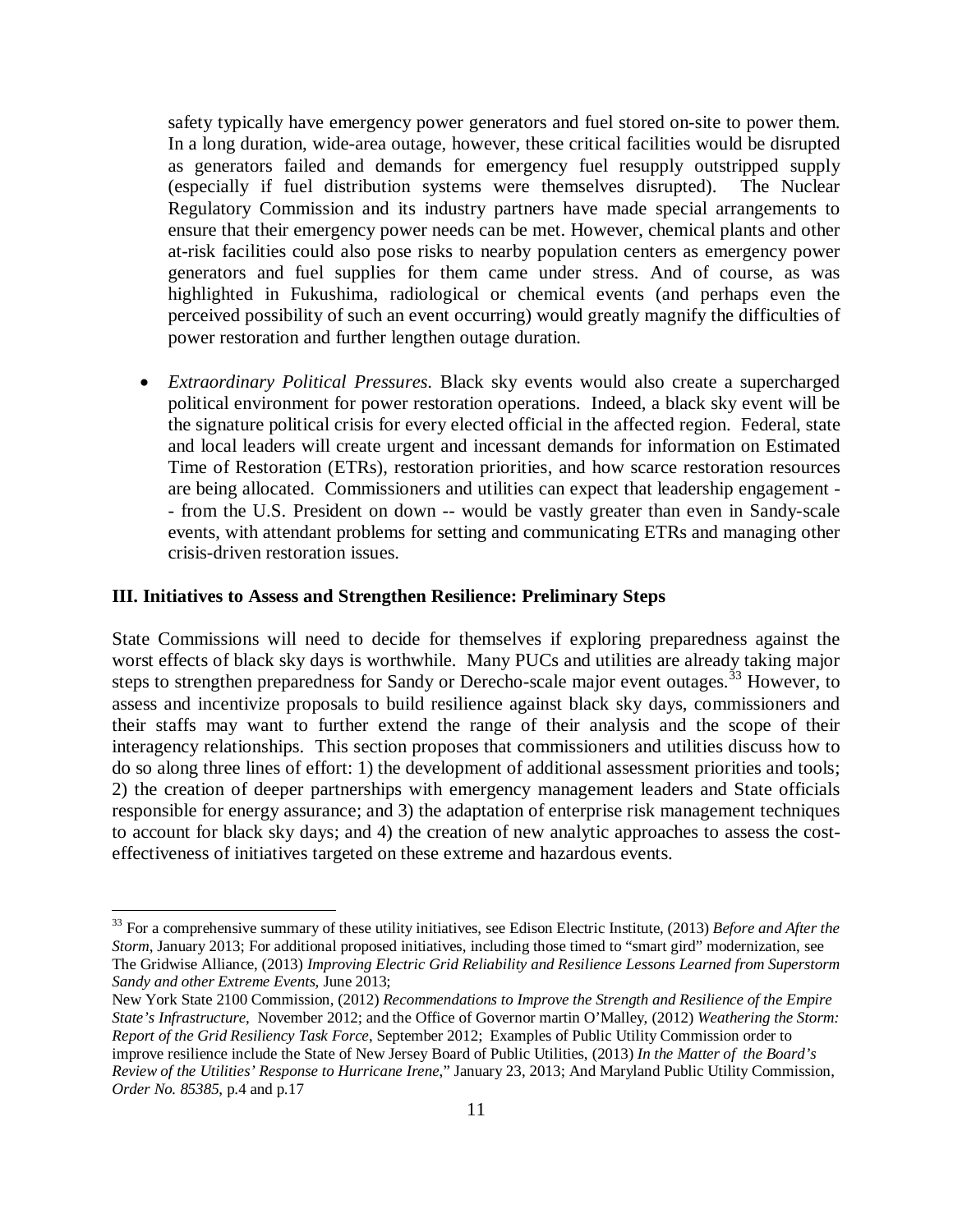safety typically have emergency power generators and fuel stored on-site to power them. In a long duration, wide-area outage, however, these critical facilities would be disrupted as generators failed and demands for emergency fuel resupply outstripped supply (especially if fuel distribution systems were themselves disrupted). The Nuclear Regulatory Commission and its industry partners have made special arrangements to ensure that their emergency power needs can be met. However, chemical plants and other at-risk facilities could also pose risks to nearby population centers as emergency power generators and fuel supplies for them came under stress. And of course, as was highlighted in Fukushima, radiological or chemical events (and perhaps even the perceived possibility of such an event occurring) would greatly magnify the difficulties of power restoration and further lengthen outage duration.

• *Extraordinary Political Pressures*. Black sky events would also create a supercharged political environment for power restoration operations. Indeed, a black sky event will be the signature political crisis for every elected official in the affected region. Federal, state and local leaders will create urgent and incessant demands for information on Estimated Time of Restoration (ETRs), restoration priorities, and how scarce restoration resources are being allocated. Commissioners and utilities can expect that leadership engagement - - from the U.S. President on down -- would be vastly greater than even in Sandy-scale events, with attendant problems for setting and communicating ETRs and managing other crisis-driven restoration issues.

#### **III. Initiatives to Assess and Strengthen Resilience: Preliminary Steps**

State Commissions will need to decide for themselves if exploring preparedness against the worst effects of black sky days is worthwhile. Many PUCs and utilities are already taking major steps to strengthen preparedness for Sandy or Derecho-scale major event outages.<sup>[33](#page-11-0)</sup> However, to assess and incentivize proposals to build resilience against black sky days, commissioners and their staffs may want to further extend the range of their analysis and the scope of their interagency relationships. This section proposes that commissioners and utilities discuss how to do so along three lines of effort: 1) the development of additional assessment priorities and tools; 2) the creation of deeper partnerships with emergency management leaders and State officials responsible for energy assurance; and 3) the adaptation of enterprise risk management techniques to account for black sky days; and 4) the creation of new analytic approaches to assess the costeffectiveness of initiatives targeted on these extreme and hazardous events.

<span id="page-11-0"></span> <sup>33</sup> For a comprehensive summary of these utility initiatives, see Edison Electric Institute, (2013) *Before and After the Storm*, January 2013; For additional proposed initiatives, including those timed to "smart gird" modernization, see The Gridwise Alliance, (2013) *Improving Electric Grid Reliability and Resilience Lessons Learned from Superstorm Sandy and other Extreme Events*, June 2013;

New York State 2100 Commission, (2012) *Recommendations to Improve the Strength and Resilience of the Empire State's Infrastructure*, November 2012; and the Office of Governor martin O'Malley, (2012) *Weathering the Storm: Report of the Grid Resiliency Task Force*, September 2012; Examples of Public Utility Commission order to improve resilience include the State of New Jersey Board of Public Utilities, (2013) *In the Matter of the Board's Review of the Utilities' Response to Hurricane Irene*," January 23, 2013; And Maryland Public Utility Commission, *Order No. 85385*, p.4 and p.17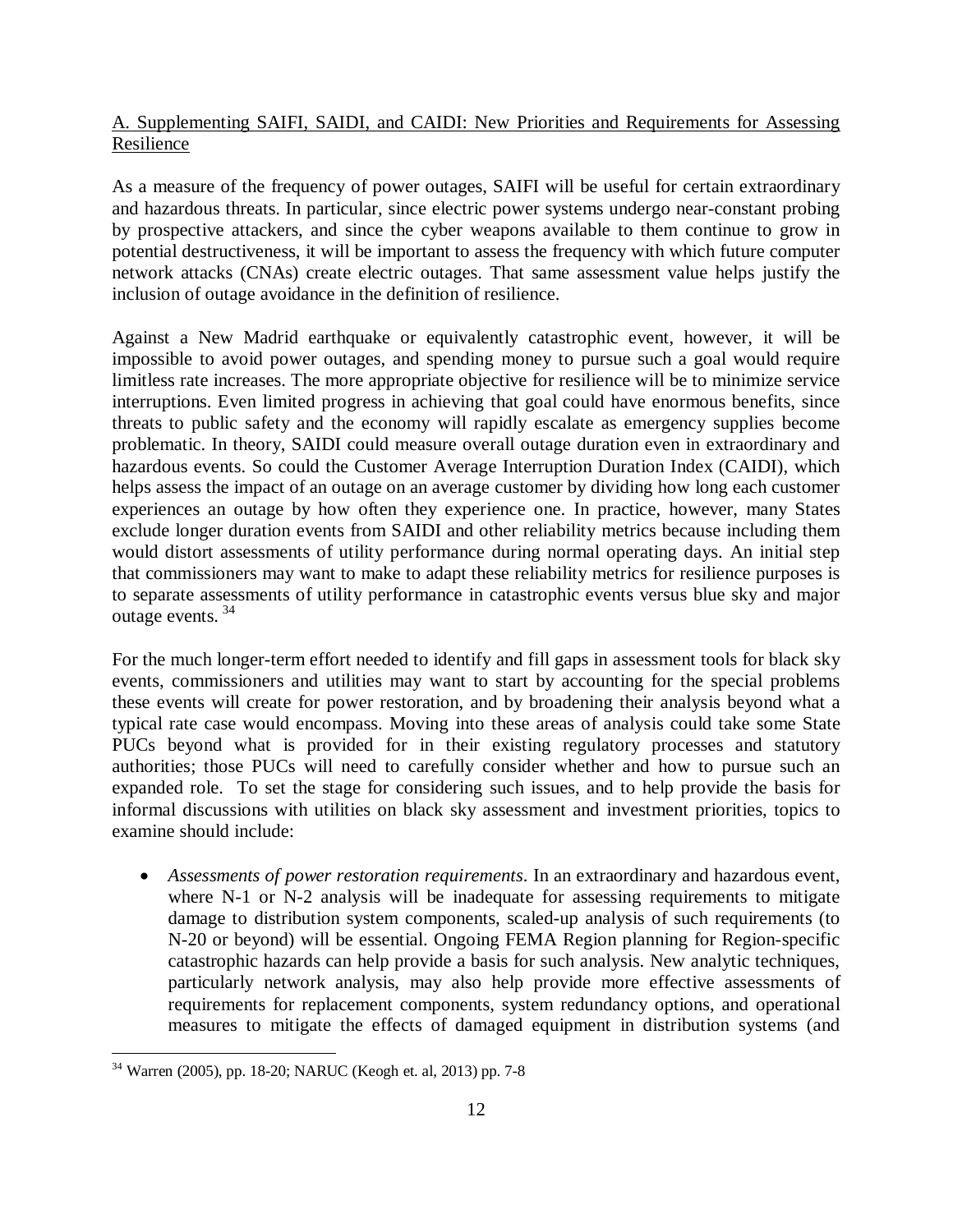## A. Supplementing SAIFI, SAIDI, and CAIDI: New Priorities and Requirements for Assessing Resilience

As a measure of the frequency of power outages, SAIFI will be useful for certain extraordinary and hazardous threats. In particular, since electric power systems undergo near-constant probing by prospective attackers, and since the cyber weapons available to them continue to grow in potential destructiveness, it will be important to assess the frequency with which future computer network attacks (CNAs) create electric outages. That same assessment value helps justify the inclusion of outage avoidance in the definition of resilience.

Against a New Madrid earthquake or equivalently catastrophic event, however, it will be impossible to avoid power outages, and spending money to pursue such a goal would require limitless rate increases. The more appropriate objective for resilience will be to minimize service interruptions. Even limited progress in achieving that goal could have enormous benefits, since threats to public safety and the economy will rapidly escalate as emergency supplies become problematic. In theory, SAIDI could measure overall outage duration even in extraordinary and hazardous events. So could the Customer Average Interruption Duration Index (CAIDI), which helps assess the impact of an outage on an average customer by dividing how long each customer experiences an outage by how often they experience one. In practice, however, many States exclude longer duration events from SAIDI and other reliability metrics because including them would distort assessments of utility performance during normal operating days. An initial step that commissioners may want to make to adapt these reliability metrics for resilience purposes is to separate assessments of utility performance in catastrophic events versus blue sky and major outage events.<sup>[34](#page-12-0)</sup>

For the much longer-term effort needed to identify and fill gaps in assessment tools for black sky events, commissioners and utilities may want to start by accounting for the special problems these events will create for power restoration, and by broadening their analysis beyond what a typical rate case would encompass. Moving into these areas of analysis could take some State PUCs beyond what is provided for in their existing regulatory processes and statutory authorities; those PUCs will need to carefully consider whether and how to pursue such an expanded role. To set the stage for considering such issues, and to help provide the basis for informal discussions with utilities on black sky assessment and investment priorities, topics to examine should include:

• *Assessments of power restoration requirements*. In an extraordinary and hazardous event, where N-1 or N-2 analysis will be inadequate for assessing requirements to mitigate damage to distribution system components, scaled-up analysis of such requirements (to N-20 or beyond) will be essential. Ongoing FEMA Region planning for Region-specific catastrophic hazards can help provide a basis for such analysis. New analytic techniques, particularly network analysis, may also help provide more effective assessments of requirements for replacement components, system redundancy options, and operational measures to mitigate the effects of damaged equipment in distribution systems (and

<span id="page-12-0"></span> <sup>34</sup> Warren (2005), pp. 18-20; NARUC (Keogh et. al, 2013) pp. 7-8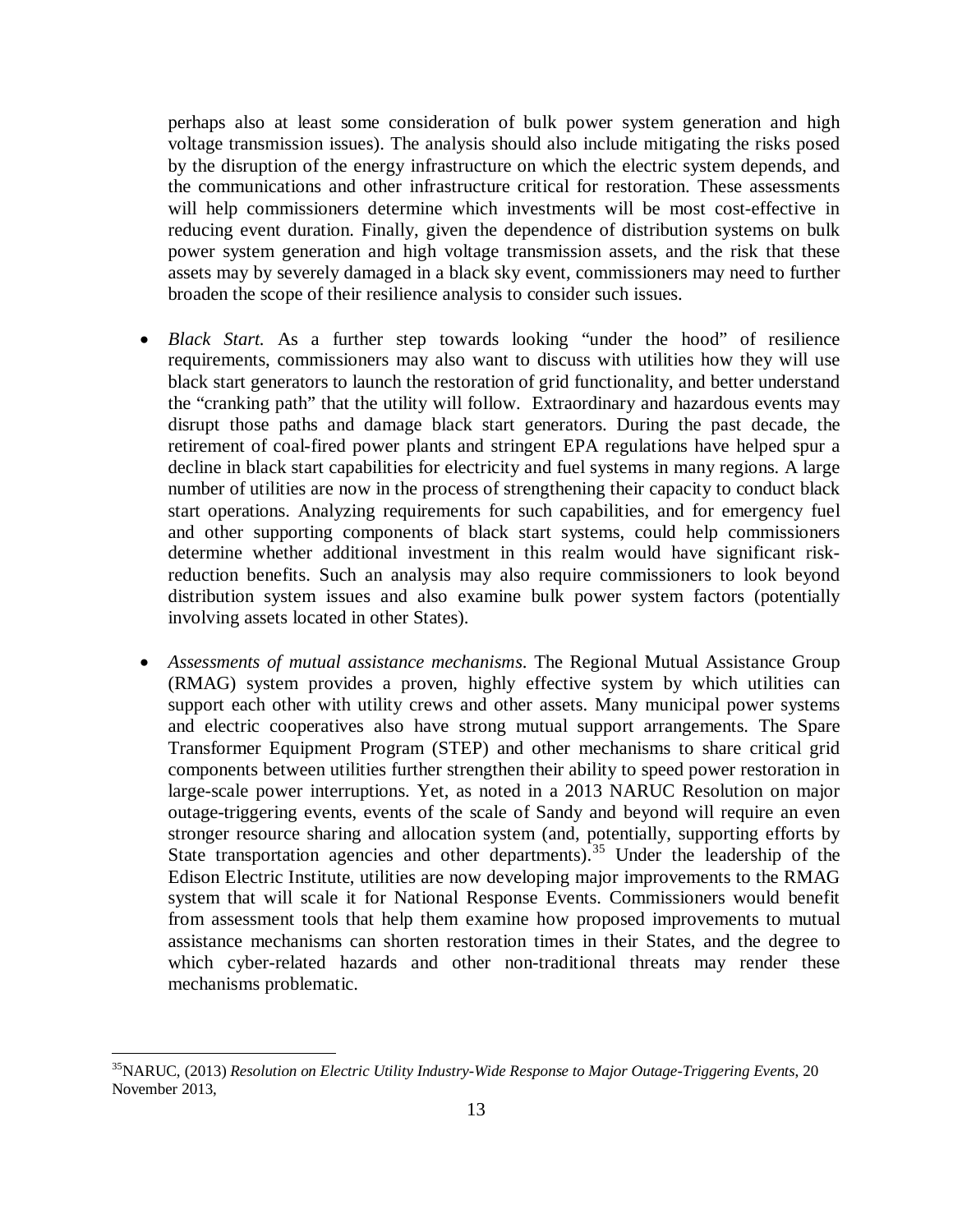perhaps also at least some consideration of bulk power system generation and high voltage transmission issues). The analysis should also include mitigating the risks posed by the disruption of the energy infrastructure on which the electric system depends, and the communications and other infrastructure critical for restoration. These assessments will help commissioners determine which investments will be most cost-effective in reducing event duration. Finally, given the dependence of distribution systems on bulk power system generation and high voltage transmission assets, and the risk that these assets may by severely damaged in a black sky event, commissioners may need to further broaden the scope of their resilience analysis to consider such issues.

- *Black Start.* As a further step towards looking "under the hood" of resilience requirements, commissioners may also want to discuss with utilities how they will use black start generators to launch the restoration of grid functionality, and better understand the "cranking path" that the utility will follow. Extraordinary and hazardous events may disrupt those paths and damage black start generators. During the past decade, the retirement of coal-fired power plants and stringent EPA regulations have helped spur a decline in black start capabilities for electricity and fuel systems in many regions. A large number of utilities are now in the process of strengthening their capacity to conduct black start operations. Analyzing requirements for such capabilities, and for emergency fuel and other supporting components of black start systems, could help commissioners determine whether additional investment in this realm would have significant riskreduction benefits. Such an analysis may also require commissioners to look beyond distribution system issues and also examine bulk power system factors (potentially involving assets located in other States).
- *Assessments of mutual assistance mechanisms*. The Regional Mutual Assistance Group (RMAG) system provides a proven, highly effective system by which utilities can support each other with utility crews and other assets. Many municipal power systems and electric cooperatives also have strong mutual support arrangements. The Spare Transformer Equipment Program (STEP) and other mechanisms to share critical grid components between utilities further strengthen their ability to speed power restoration in large-scale power interruptions. Yet, as noted in a 2013 NARUC Resolution on major outage-triggering events, events of the scale of Sandy and beyond will require an even stronger resource sharing and allocation system (and, potentially, supporting efforts by State transportation agencies and other departments).<sup>[35](#page-13-0)</sup> Under the leadership of the Edison Electric Institute, utilities are now developing major improvements to the RMAG system that will scale it for National Response Events. Commissioners would benefit from assessment tools that help them examine how proposed improvements to mutual assistance mechanisms can shorten restoration times in their States, and the degree to which cyber-related hazards and other non-traditional threats may render these mechanisms problematic.

<span id="page-13-0"></span> <sup>35</sup>NARUC, (2013) *Resolution on Electric Utility Industry-Wide Response to Major Outage-Triggering Events*, 20 November 2013,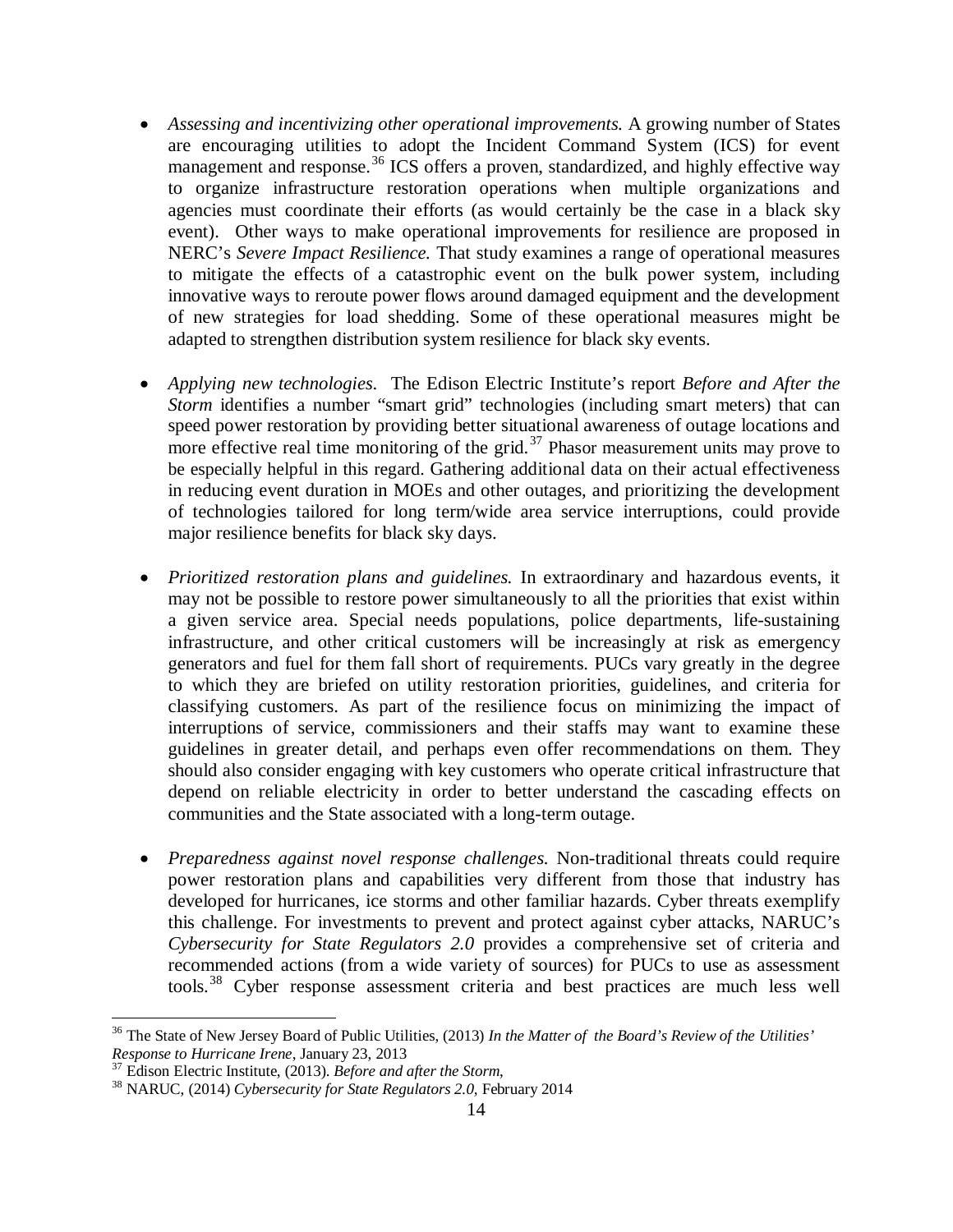- *Assessing and incentivizing other operational improvements.* A growing number of States are encouraging utilities to adopt the Incident Command System (ICS) for event management and response.<sup>[36](#page-14-0)</sup> ICS offers a proven, standardized, and highly effective way to organize infrastructure restoration operations when multiple organizations and agencies must coordinate their efforts (as would certainly be the case in a black sky event). Other ways to make operational improvements for resilience are proposed in NERC's *Severe Impact Resilience.* That study examines a range of operational measures to mitigate the effects of a catastrophic event on the bulk power system, including innovative ways to reroute power flows around damaged equipment and the development of new strategies for load shedding. Some of these operational measures might be adapted to strengthen distribution system resilience for black sky events.
- *Applying new technologies*. The Edison Electric Institute's report *Before and After the Storm* identifies a number "smart grid" technologies (including smart meters) that can speed power restoration by providing better situational awareness of outage locations and more effective real time monitoring of the grid.<sup>[37](#page-14-1)</sup> Phasor measurement units may prove to be especially helpful in this regard. Gathering additional data on their actual effectiveness in reducing event duration in MOEs and other outages, and prioritizing the development of technologies tailored for long term/wide area service interruptions, could provide major resilience benefits for black sky days.
- *Prioritized restoration plans and guidelines.* In extraordinary and hazardous events, it may not be possible to restore power simultaneously to all the priorities that exist within a given service area. Special needs populations, police departments, life-sustaining infrastructure, and other critical customers will be increasingly at risk as emergency generators and fuel for them fall short of requirements. PUCs vary greatly in the degree to which they are briefed on utility restoration priorities, guidelines, and criteria for classifying customers. As part of the resilience focus on minimizing the impact of interruptions of service, commissioners and their staffs may want to examine these guidelines in greater detail, and perhaps even offer recommendations on them. They should also consider engaging with key customers who operate critical infrastructure that depend on reliable electricity in order to better understand the cascading effects on communities and the State associated with a long-term outage.
- *Preparedness against novel response challenges.* Non-traditional threats could require power restoration plans and capabilities very different from those that industry has developed for hurricanes, ice storms and other familiar hazards. Cyber threats exemplify this challenge. For investments to prevent and protect against cyber attacks, NARUC's *Cybersecurity for State Regulators 2.0* provides a comprehensive set of criteria and recommended actions (from a wide variety of sources) for PUCs to use as assessment tools.[38](#page-14-2) Cyber response assessment criteria and best practices are much less well

<span id="page-14-0"></span><sup>&</sup>lt;sup>36</sup> The State of New Jersey Board of Public Utilities, (2013) *In the Matter of the Board's Review of the Utilities' Response to Hurricane Irene*, January 23, 2013

<span id="page-14-2"></span><span id="page-14-1"></span><sup>&</sup>lt;sup>37</sup> Edison Electric Institute, (2013). *Before and after the Storm*,<br><sup>38</sup> NARUC, (2014) *Cybersecurity for State Regulators 2.0*, February 2014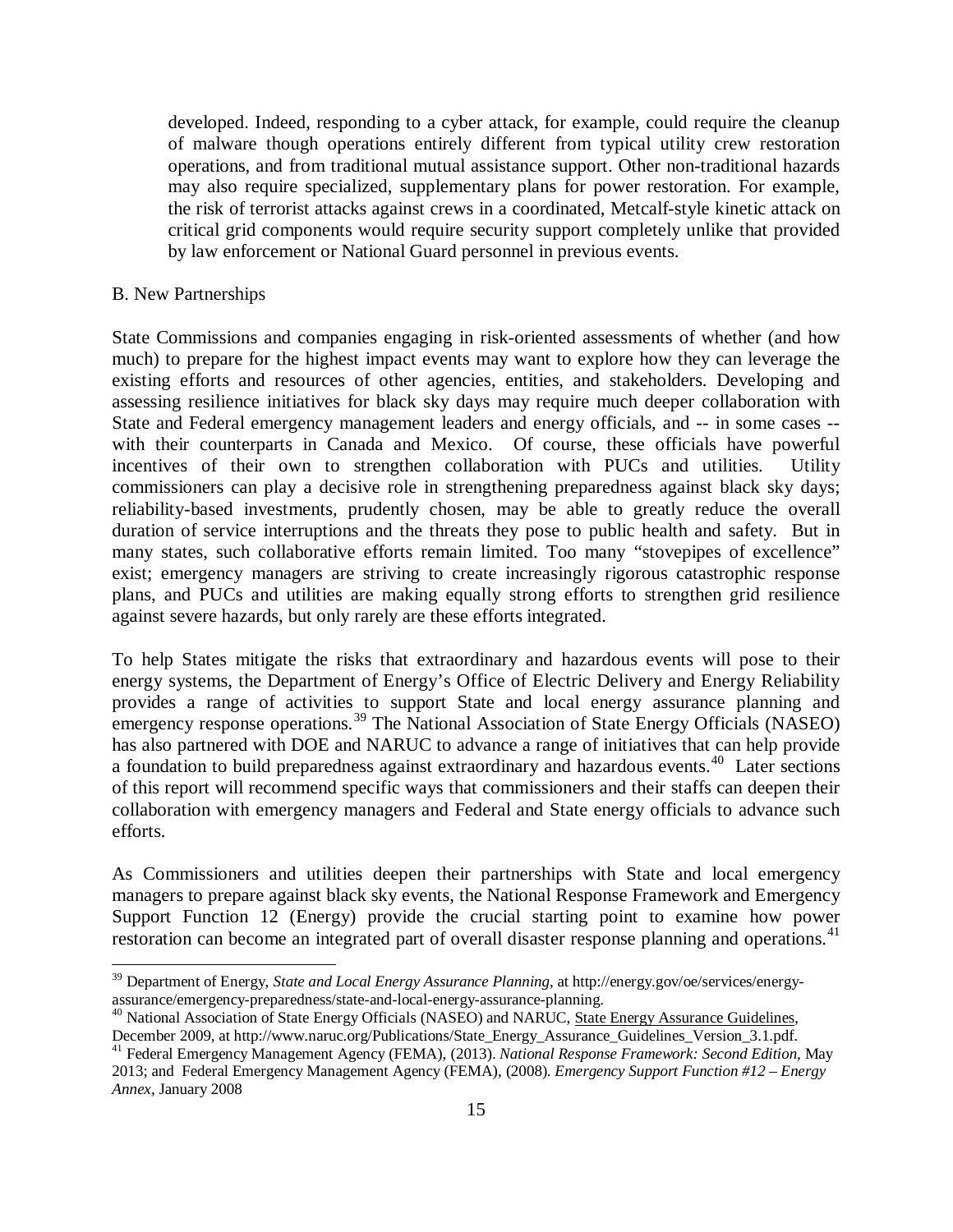developed. Indeed, responding to a cyber attack, for example, could require the cleanup of malware though operations entirely different from typical utility crew restoration operations, and from traditional mutual assistance support. Other non-traditional hazards may also require specialized, supplementary plans for power restoration. For example, the risk of terrorist attacks against crews in a coordinated, Metcalf-style kinetic attack on critical grid components would require security support completely unlike that provided by law enforcement or National Guard personnel in previous events.

#### B. New Partnerships

State Commissions and companies engaging in risk-oriented assessments of whether (and how much) to prepare for the highest impact events may want to explore how they can leverage the existing efforts and resources of other agencies, entities, and stakeholders. Developing and assessing resilience initiatives for black sky days may require much deeper collaboration with State and Federal emergency management leaders and energy officials, and -- in some cases - with their counterparts in Canada and Mexico. Of course, these officials have powerful incentives of their own to strengthen collaboration with PUCs and utilities. Utility commissioners can play a decisive role in strengthening preparedness against black sky days; reliability-based investments, prudently chosen, may be able to greatly reduce the overall duration of service interruptions and the threats they pose to public health and safety. But in many states, such collaborative efforts remain limited. Too many "stovepipes of excellence" exist; emergency managers are striving to create increasingly rigorous catastrophic response plans, and PUCs and utilities are making equally strong efforts to strengthen grid resilience against severe hazards, but only rarely are these efforts integrated.

To help States mitigate the risks that extraordinary and hazardous events will pose to their energy systems, the Department of Energy's Office of Electric Delivery and Energy Reliability provides a range of activities to support State and local energy assurance planning and emergency response operations.<sup>[39](#page-15-0)</sup> The National Association of State Energy Officials (NASEO) has also partnered with DOE and NARUC to advance a range of initiatives that can help provide a foundation to build preparedness against extraordinary and hazardous events.<sup>[40](#page-15-1)</sup> Later sections of this report will recommend specific ways that commissioners and their staffs can deepen their collaboration with emergency managers and Federal and State energy officials to advance such efforts.

As Commissioners and utilities deepen their partnerships with State and local emergency managers to prepare against black sky events, the National Response Framework and Emergency Support Function 12 (Energy) provide the crucial starting point to examine how power restoration can become an integrated part of overall disaster response planning and operations.<sup>[41](#page-15-2)</sup>

<span id="page-15-0"></span><sup>&</sup>lt;sup>39</sup> Department of Energy, *State and Local Energy Assurance Planning*, at http://energy.gov/oe/services/energy-assurance/emergency-preparedness/state-and-local-energy-assurance-planning.

<span id="page-15-1"></span><sup>&</sup>lt;sup>40</sup> National Association of State Energy Officials (NASEO) and NARUC, State Energy Assurance Guidelines, December 2009, at http://www.naruc.org/Publications/State\_Energy\_Assurance\_Guidelines\_Version\_3.1.pdf.

<span id="page-15-2"></span><sup>&</sup>lt;sup>41</sup> Federal Emergency Management Agency (FEMA), (2013). *National Response Framework: Second Edition*, May 2013; and Federal Emergency Management Agency (FEMA), (2008). *Emergency Support Function #12 – Energy Annex,* January 2008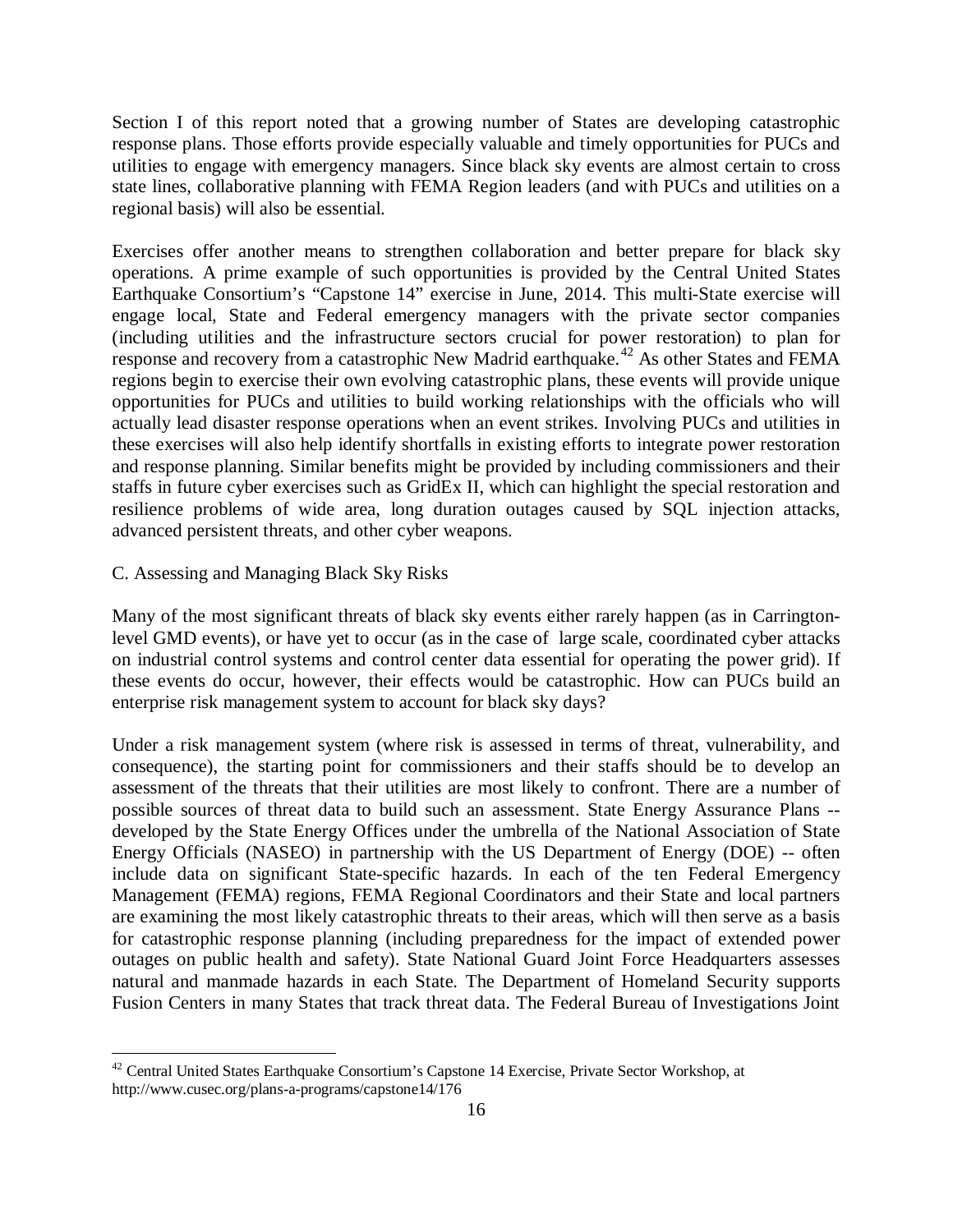Section I of this report noted that a growing number of States are developing catastrophic response plans. Those efforts provide especially valuable and timely opportunities for PUCs and utilities to engage with emergency managers. Since black sky events are almost certain to cross state lines, collaborative planning with FEMA Region leaders (and with PUCs and utilities on a regional basis) will also be essential.

Exercises offer another means to strengthen collaboration and better prepare for black sky operations. A prime example of such opportunities is provided by the Central United States Earthquake Consortium's "Capstone 14" exercise in June, 2014. This multi-State exercise will engage local, State and Federal emergency managers with the private sector companies (including utilities and the infrastructure sectors crucial for power restoration) to plan for response and recovery from a catastrophic New Madrid earthquake.<sup>[42](#page-16-0)</sup> As other States and FEMA regions begin to exercise their own evolving catastrophic plans, these events will provide unique opportunities for PUCs and utilities to build working relationships with the officials who will actually lead disaster response operations when an event strikes. Involving PUCs and utilities in these exercises will also help identify shortfalls in existing efforts to integrate power restoration and response planning. Similar benefits might be provided by including commissioners and their staffs in future cyber exercises such as GridEx II, which can highlight the special restoration and resilience problems of wide area, long duration outages caused by SQL injection attacks, advanced persistent threats, and other cyber weapons.

#### C. Assessing and Managing Black Sky Risks

Many of the most significant threats of black sky events either rarely happen (as in Carringtonlevel GMD events), or have yet to occur (as in the case of large scale, coordinated cyber attacks on industrial control systems and control center data essential for operating the power grid). If these events do occur, however, their effects would be catastrophic. How can PUCs build an enterprise risk management system to account for black sky days?

Under a risk management system (where risk is assessed in terms of threat, vulnerability, and consequence), the starting point for commissioners and their staffs should be to develop an assessment of the threats that their utilities are most likely to confront. There are a number of possible sources of threat data to build such an assessment. State Energy Assurance Plans - developed by the State Energy Offices under the umbrella of the National Association of State Energy Officials (NASEO) in partnership with the US Department of Energy (DOE) -- often include data on significant State-specific hazards. In each of the ten Federal Emergency Management (FEMA) regions, FEMA Regional Coordinators and their State and local partners are examining the most likely catastrophic threats to their areas, which will then serve as a basis for catastrophic response planning (including preparedness for the impact of extended power outages on public health and safety). State National Guard Joint Force Headquarters assesses natural and manmade hazards in each State. The Department of Homeland Security supports Fusion Centers in many States that track threat data. The Federal Bureau of Investigations Joint

<span id="page-16-0"></span><sup>&</sup>lt;sup>42</sup> Central United States Earthquake Consortium's Capstone 14 Exercise, Private Sector Workshop, at http://www.cusec.org/plans-a-programs/capstone14/176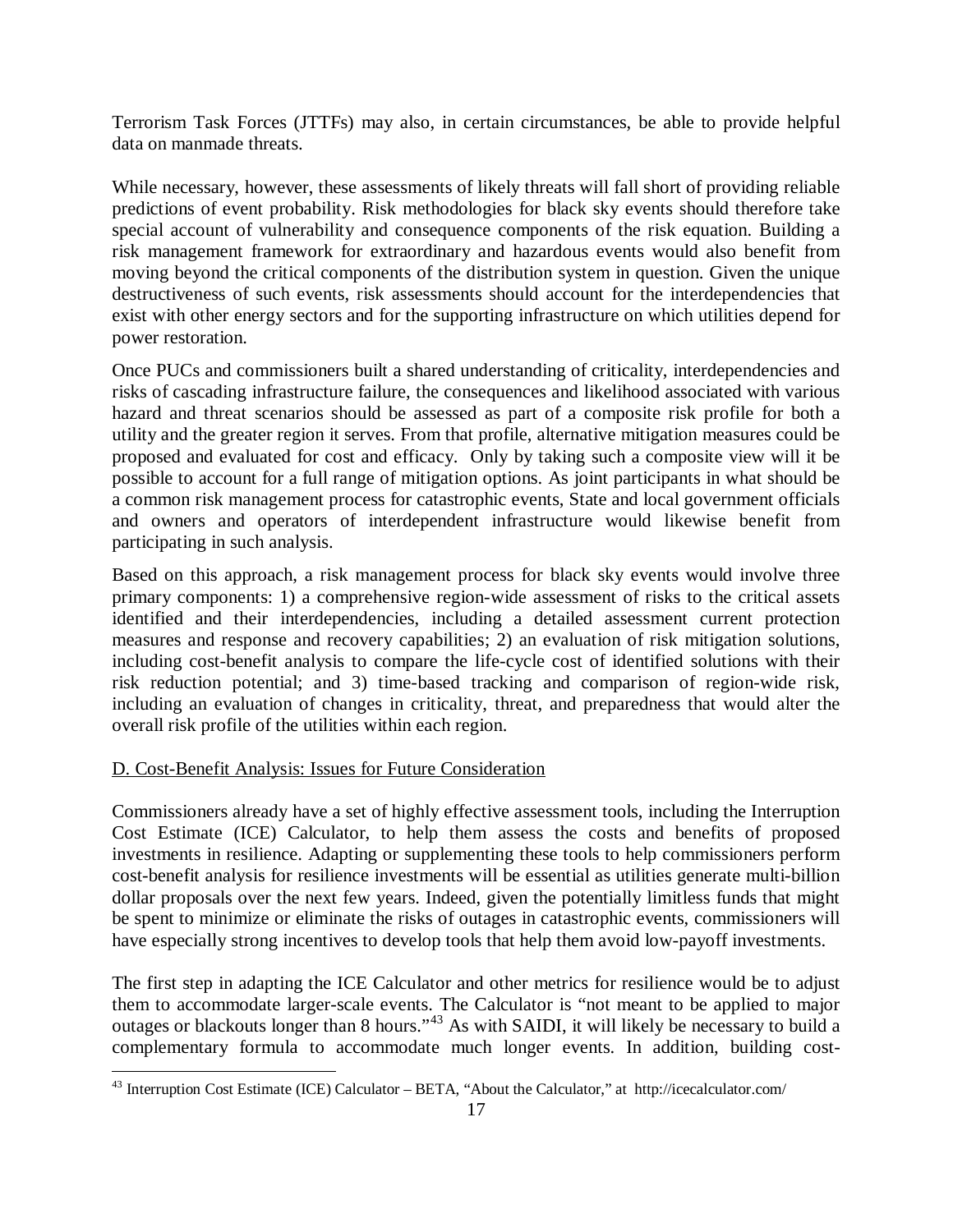Terrorism Task Forces (JTTFs) may also, in certain circumstances, be able to provide helpful data on manmade threats.

While necessary, however, these assessments of likely threats will fall short of providing reliable predictions of event probability. Risk methodologies for black sky events should therefore take special account of vulnerability and consequence components of the risk equation. Building a risk management framework for extraordinary and hazardous events would also benefit from moving beyond the critical components of the distribution system in question. Given the unique destructiveness of such events, risk assessments should account for the interdependencies that exist with other energy sectors and for the supporting infrastructure on which utilities depend for power restoration.

Once PUCs and commissioners built a shared understanding of criticality, interdependencies and risks of cascading infrastructure failure, the consequences and likelihood associated with various hazard and threat scenarios should be assessed as part of a composite risk profile for both a utility and the greater region it serves. From that profile, alternative mitigation measures could be proposed and evaluated for cost and efficacy. Only by taking such a composite view will it be possible to account for a full range of mitigation options. As joint participants in what should be a common risk management process for catastrophic events, State and local government officials and owners and operators of interdependent infrastructure would likewise benefit from participating in such analysis.

Based on this approach, a risk management process for black sky events would involve three primary components: 1) a comprehensive region-wide assessment of risks to the critical assets identified and their interdependencies, including a detailed assessment current protection measures and response and recovery capabilities; 2) an evaluation of risk mitigation solutions, including cost-benefit analysis to compare the life-cycle cost of identified solutions with their risk reduction potential; and 3) time-based tracking and comparison of region-wide risk, including an evaluation of changes in criticality, threat, and preparedness that would alter the overall risk profile of the utilities within each region.

## D. Cost-Benefit Analysis: Issues for Future Consideration

Commissioners already have a set of highly effective assessment tools, including the Interruption Cost Estimate (ICE) Calculator, to help them assess the costs and benefits of proposed investments in resilience. Adapting or supplementing these tools to help commissioners perform cost-benefit analysis for resilience investments will be essential as utilities generate multi-billion dollar proposals over the next few years. Indeed, given the potentially limitless funds that might be spent to minimize or eliminate the risks of outages in catastrophic events, commissioners will have especially strong incentives to develop tools that help them avoid low-payoff investments.

The first step in adapting the ICE Calculator and other metrics for resilience would be to adjust them to accommodate larger-scale events. The Calculator is "not meant to be applied to major outages or blackouts longer than 8 hours."[43](#page-17-0) As with SAIDI, it will likely be necessary to build a complementary formula to accommodate much longer events. In addition, building cost-

<span id="page-17-0"></span> <sup>43</sup> Interruption Cost Estimate (ICE) Calculator – BETA, "About the Calculator," at http://icecalculator.com/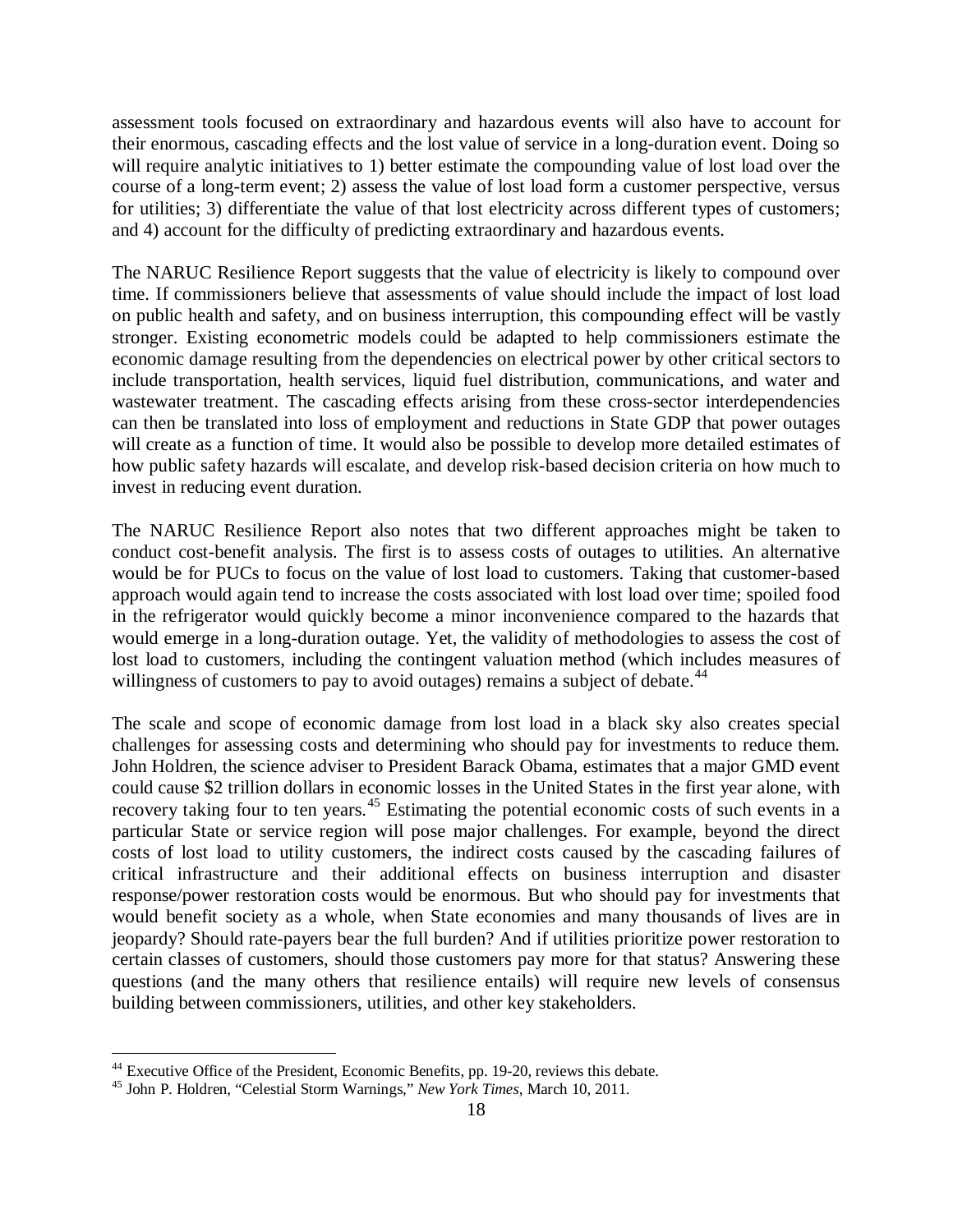assessment tools focused on extraordinary and hazardous events will also have to account for their enormous, cascading effects and the lost value of service in a long-duration event. Doing so will require analytic initiatives to 1) better estimate the compounding value of lost load over the course of a long-term event; 2) assess the value of lost load form a customer perspective, versus for utilities; 3) differentiate the value of that lost electricity across different types of customers; and 4) account for the difficulty of predicting extraordinary and hazardous events.

The NARUC Resilience Report suggests that the value of electricity is likely to compound over time. If commissioners believe that assessments of value should include the impact of lost load on public health and safety, and on business interruption, this compounding effect will be vastly stronger. Existing econometric models could be adapted to help commissioners estimate the economic damage resulting from the dependencies on electrical power by other critical sectors to include transportation, health services, liquid fuel distribution, communications, and water and wastewater treatment. The cascading effects arising from these cross-sector interdependencies can then be translated into loss of employment and reductions in State GDP that power outages will create as a function of time. It would also be possible to develop more detailed estimates of how public safety hazards will escalate, and develop risk-based decision criteria on how much to invest in reducing event duration.

The NARUC Resilience Report also notes that two different approaches might be taken to conduct cost-benefit analysis. The first is to assess costs of outages to utilities. An alternative would be for PUCs to focus on the value of lost load to customers. Taking that customer-based approach would again tend to increase the costs associated with lost load over time; spoiled food in the refrigerator would quickly become a minor inconvenience compared to the hazards that would emerge in a long-duration outage. Yet, the validity of methodologies to assess the cost of lost load to customers, including the contingent valuation method (which includes measures of willingness of customers to pay to avoid outages) remains a subject of debate.<sup>[44](#page-18-0)</sup>

The scale and scope of economic damage from lost load in a black sky also creates special challenges for assessing costs and determining who should pay for investments to reduce them. John Holdren, the science adviser to President Barack Obama, estimates that a major GMD event could cause \$2 trillion dollars in economic losses in the United States in the first year alone, with recovery taking four to ten years.<sup>[45](#page-18-1)</sup> Estimating the potential economic costs of such events in a particular State or service region will pose major challenges. For example, beyond the direct costs of lost load to utility customers, the indirect costs caused by the cascading failures of critical infrastructure and their additional effects on business interruption and disaster response/power restoration costs would be enormous. But who should pay for investments that would benefit society as a whole, when State economies and many thousands of lives are in jeopardy? Should rate-payers bear the full burden? And if utilities prioritize power restoration to certain classes of customers, should those customers pay more for that status? Answering these questions (and the many others that resilience entails) will require new levels of consensus building between commissioners, utilities, and other key stakeholders.

<span id="page-18-1"></span><span id="page-18-0"></span><sup>44</sup> Executive Office of the President, Economic Benefits, pp. 19-20, reviews this debate. <sup>45</sup> John P. Holdren, "Celestial Storm Warnings," *New York Times*, March 10, 2011.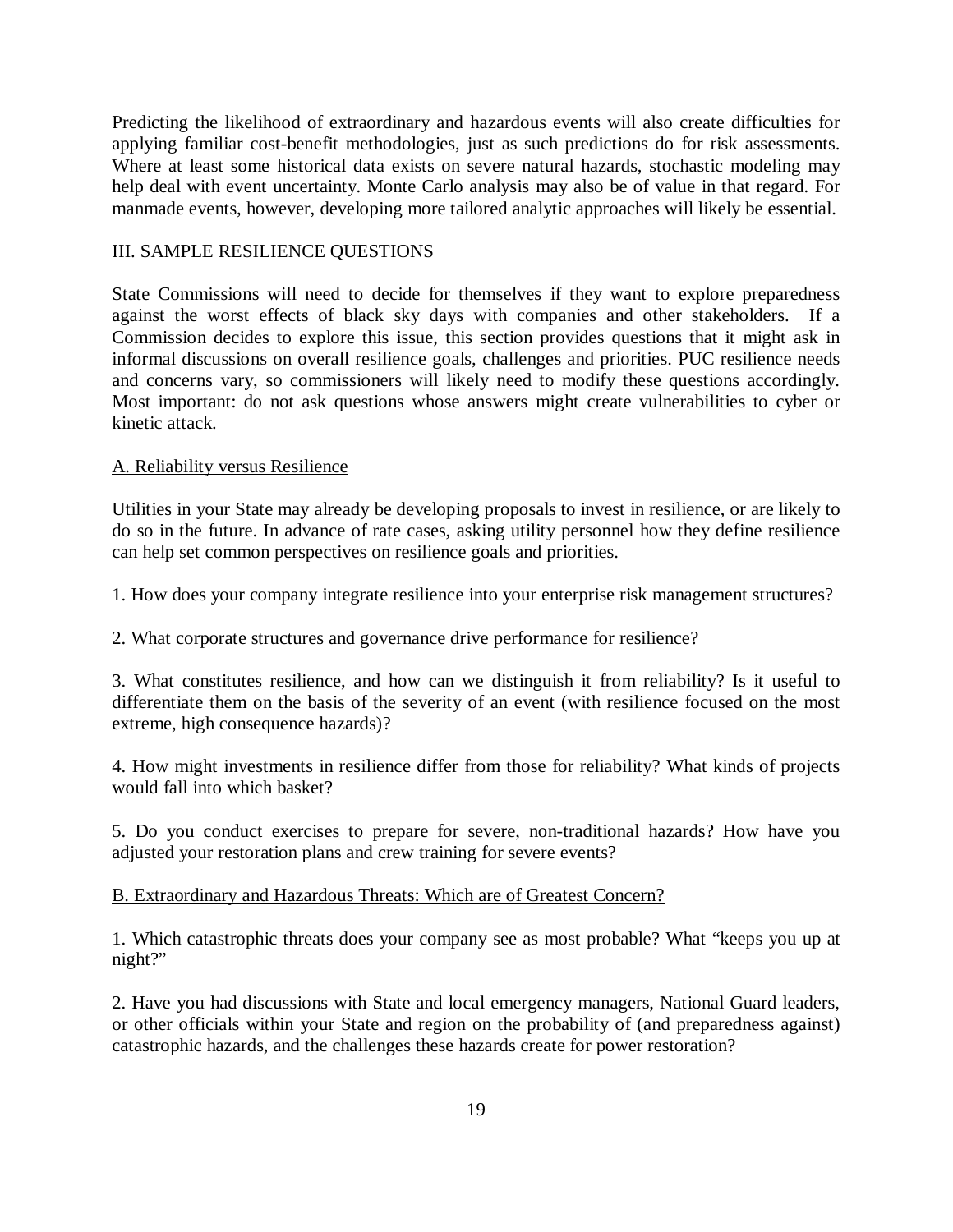Predicting the likelihood of extraordinary and hazardous events will also create difficulties for applying familiar cost-benefit methodologies, just as such predictions do for risk assessments. Where at least some historical data exists on severe natural hazards, stochastic modeling may help deal with event uncertainty. Monte Carlo analysis may also be of value in that regard. For manmade events, however, developing more tailored analytic approaches will likely be essential.

## III. SAMPLE RESILIENCE QUESTIONS

State Commissions will need to decide for themselves if they want to explore preparedness against the worst effects of black sky days with companies and other stakeholders. If a Commission decides to explore this issue, this section provides questions that it might ask in informal discussions on overall resilience goals, challenges and priorities. PUC resilience needs and concerns vary, so commissioners will likely need to modify these questions accordingly. Most important: do not ask questions whose answers might create vulnerabilities to cyber or kinetic attack.

### A. Reliability versus Resilience

Utilities in your State may already be developing proposals to invest in resilience, or are likely to do so in the future. In advance of rate cases, asking utility personnel how they define resilience can help set common perspectives on resilience goals and priorities.

1. How does your company integrate resilience into your enterprise risk management structures?

2. What corporate structures and governance drive performance for resilience?

3. What constitutes resilience, and how can we distinguish it from reliability? Is it useful to differentiate them on the basis of the severity of an event (with resilience focused on the most extreme, high consequence hazards)?

4. How might investments in resilience differ from those for reliability? What kinds of projects would fall into which basket?

5. Do you conduct exercises to prepare for severe, non-traditional hazards? How have you adjusted your restoration plans and crew training for severe events?

#### B. Extraordinary and Hazardous Threats: Which are of Greatest Concern?

1. Which catastrophic threats does your company see as most probable? What "keeps you up at night?"

2. Have you had discussions with State and local emergency managers, National Guard leaders, or other officials within your State and region on the probability of (and preparedness against) catastrophic hazards, and the challenges these hazards create for power restoration?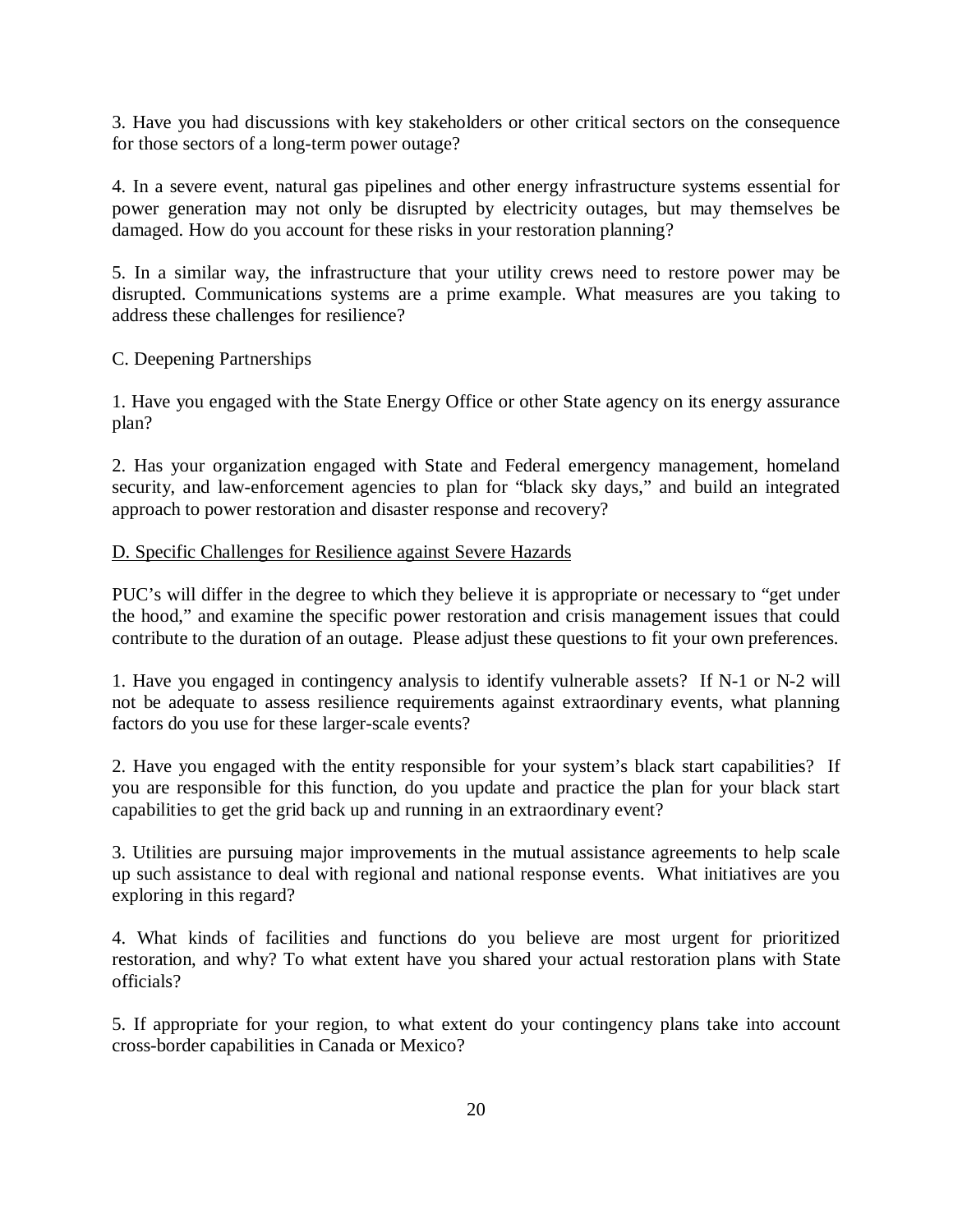3. Have you had discussions with key stakeholders or other critical sectors on the consequence for those sectors of a long-term power outage?

4. In a severe event, natural gas pipelines and other energy infrastructure systems essential for power generation may not only be disrupted by electricity outages, but may themselves be damaged. How do you account for these risks in your restoration planning?

5. In a similar way, the infrastructure that your utility crews need to restore power may be disrupted. Communications systems are a prime example. What measures are you taking to address these challenges for resilience?

C. Deepening Partnerships

1. Have you engaged with the State Energy Office or other State agency on its energy assurance plan?

2. Has your organization engaged with State and Federal emergency management, homeland security, and law-enforcement agencies to plan for "black sky days," and build an integrated approach to power restoration and disaster response and recovery?

## D. Specific Challenges for Resilience against Severe Hazards

PUC's will differ in the degree to which they believe it is appropriate or necessary to "get under the hood," and examine the specific power restoration and crisis management issues that could contribute to the duration of an outage. Please adjust these questions to fit your own preferences.

1. Have you engaged in contingency analysis to identify vulnerable assets? If N-1 or N-2 will not be adequate to assess resilience requirements against extraordinary events, what planning factors do you use for these larger-scale events?

2. Have you engaged with the entity responsible for your system's black start capabilities? If you are responsible for this function, do you update and practice the plan for your black start capabilities to get the grid back up and running in an extraordinary event?

3. Utilities are pursuing major improvements in the mutual assistance agreements to help scale up such assistance to deal with regional and national response events. What initiatives are you exploring in this regard?

4. What kinds of facilities and functions do you believe are most urgent for prioritized restoration, and why? To what extent have you shared your actual restoration plans with State officials?

5. If appropriate for your region, to what extent do your contingency plans take into account cross-border capabilities in Canada or Mexico?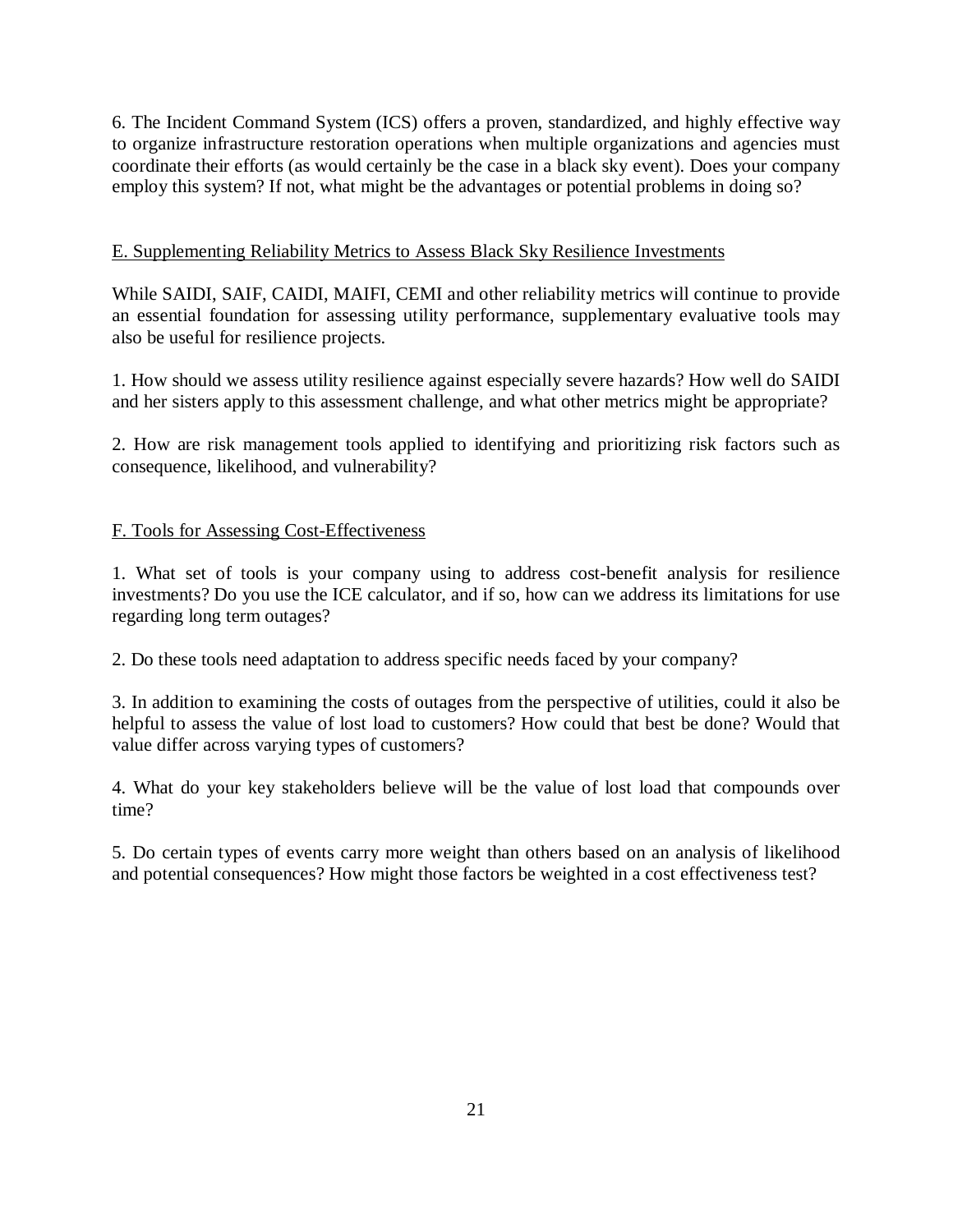6. The Incident Command System (ICS) offers a proven, standardized, and highly effective way to organize infrastructure restoration operations when multiple organizations and agencies must coordinate their efforts (as would certainly be the case in a black sky event). Does your company employ this system? If not, what might be the advantages or potential problems in doing so?

## E. Supplementing Reliability Metrics to Assess Black Sky Resilience Investments

While SAIDI, SAIF, CAIDI, MAIFI, CEMI and other reliability metrics will continue to provide an essential foundation for assessing utility performance, supplementary evaluative tools may also be useful for resilience projects.

1. How should we assess utility resilience against especially severe hazards? How well do SAIDI and her sisters apply to this assessment challenge, and what other metrics might be appropriate?

2. How are risk management tools applied to identifying and prioritizing risk factors such as consequence, likelihood, and vulnerability?

## F. Tools for Assessing Cost-Effectiveness

1. What set of tools is your company using to address cost-benefit analysis for resilience investments? Do you use the ICE calculator, and if so, how can we address its limitations for use regarding long term outages?

2. Do these tools need adaptation to address specific needs faced by your company?

3. In addition to examining the costs of outages from the perspective of utilities, could it also be helpful to assess the value of lost load to customers? How could that best be done? Would that value differ across varying types of customers?

4. What do your key stakeholders believe will be the value of lost load that compounds over time?

5. Do certain types of events carry more weight than others based on an analysis of likelihood and potential consequences? How might those factors be weighted in a cost effectiveness test?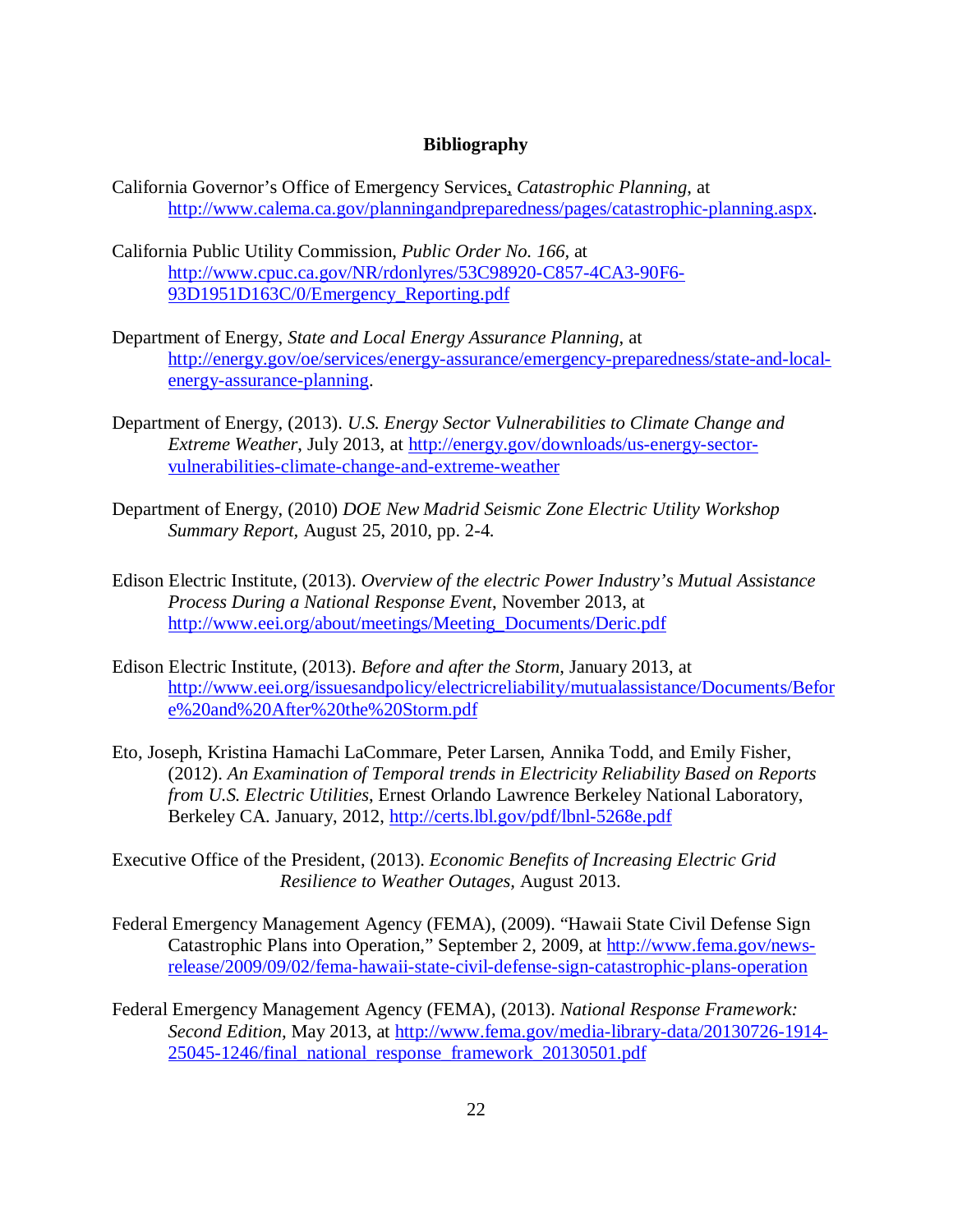#### **Bibliography**

- California Governor's Office of Emergency Services, *Catastrophic Planning*, at [http://www.calema.ca.gov/planningandpreparedness/pages/catastrophic-planning.aspx.](http://www.calema.ca.gov/planningandpreparedness/pages/catastrophic-planning.aspx)
- California Public Utility Commission, *Public Order No. 166,* at [http://www.cpuc.ca.gov/NR/rdonlyres/53C98920-C857-4CA3-90F6-](http://www.cpuc.ca.gov/NR/rdonlyres/53C98920-C857-4CA3-90F6-93D1951D163C/0/Emergency_Reporting.pdf) [93D1951D163C/0/Emergency\\_Reporting.pdf](http://www.cpuc.ca.gov/NR/rdonlyres/53C98920-C857-4CA3-90F6-93D1951D163C/0/Emergency_Reporting.pdf)
- Department of Energy, *State and Local Energy Assurance Planning*, at [http://energy.gov/oe/services/energy-assurance/emergency-preparedness/state-and-local](http://energy.gov/oe/services/energy-assurance/emergency-preparedness/state-and-local-energy-assurance-planning)[energy-assurance-planning.](http://energy.gov/oe/services/energy-assurance/emergency-preparedness/state-and-local-energy-assurance-planning)
- Department of Energy, (2013). *U.S. Energy Sector Vulnerabilities to Climate Change and Extreme Weather*, July 2013, at [http://energy.gov/downloads/us-energy-sector](http://energy.gov/downloads/us-energy-sector-vulnerabilities-climate-change-and-extreme-weather)[vulnerabilities-climate-change-and-extreme-weather](http://energy.gov/downloads/us-energy-sector-vulnerabilities-climate-change-and-extreme-weather)
- Department of Energy, (2010) *DOE New Madrid Seismic Zone Electric Utility Workshop Summary Report,* August 25, 2010, pp. 2-4.
- Edison Electric Institute, (2013). *Overview of the electric Power Industry's Mutual Assistance Process During a National Response Event*, November 2013, at [http://www.eei.org/about/meetings/Meeting\\_Documents/Deric.pdf](http://www.eei.org/about/meetings/Meeting_Documents/Deric.pdf)
- Edison Electric Institute, (2013). *Before and after the Storm*, January 2013, at [http://www.eei.org/issuesandpolicy/electricreliability/mutualassistance/Documents/Befor](http://www.eei.org/issuesandpolicy/electricreliability/mutualassistance/Documents/Before%20and%20After%20the%20Storm.pdf) [e%20and%20After%20the%20Storm.pdf](http://www.eei.org/issuesandpolicy/electricreliability/mutualassistance/Documents/Before%20and%20After%20the%20Storm.pdf)
- Eto, Joseph, Kristina Hamachi LaCommare, Peter Larsen, Annika Todd, and Emily Fisher, (2012). *An Examination of Temporal trends in Electricity Reliability Based on Reports from U.S. Electric Utilities*, Ernest Orlando Lawrence Berkeley National Laboratory, Berkeley CA. January, 2012, <http://certs.lbl.gov/pdf/lbnl-5268e.pdf>
- Executive Office of the President, (2013). *Economic Benefits of Increasing Electric Grid Resilience to Weather Outages,* August 2013.
- Federal Emergency Management Agency (FEMA), (2009). "Hawaii State Civil Defense Sign Catastrophic Plans into Operation," September 2, 2009, at [http://www.fema.gov/news](http://www.fema.gov/news-release/2009/09/02/fema-hawaii-state-civil-defense-sign-catastrophic-plans-operation)[release/2009/09/02/fema-hawaii-state-civil-defense-sign-catastrophic-plans-operation](http://www.fema.gov/news-release/2009/09/02/fema-hawaii-state-civil-defense-sign-catastrophic-plans-operation)
- Federal Emergency Management Agency (FEMA), (2013). *National Response Framework: Second Edition,* May 2013, at [http://www.fema.gov/media-library-data/20130726-1914-](http://www.fema.gov/media-library-data/20130726-1914-25045-1246/final_national_response_framework_20130501.pdf) [25045-1246/final\\_national\\_response\\_framework\\_20130501.pdf](http://www.fema.gov/media-library-data/20130726-1914-25045-1246/final_national_response_framework_20130501.pdf)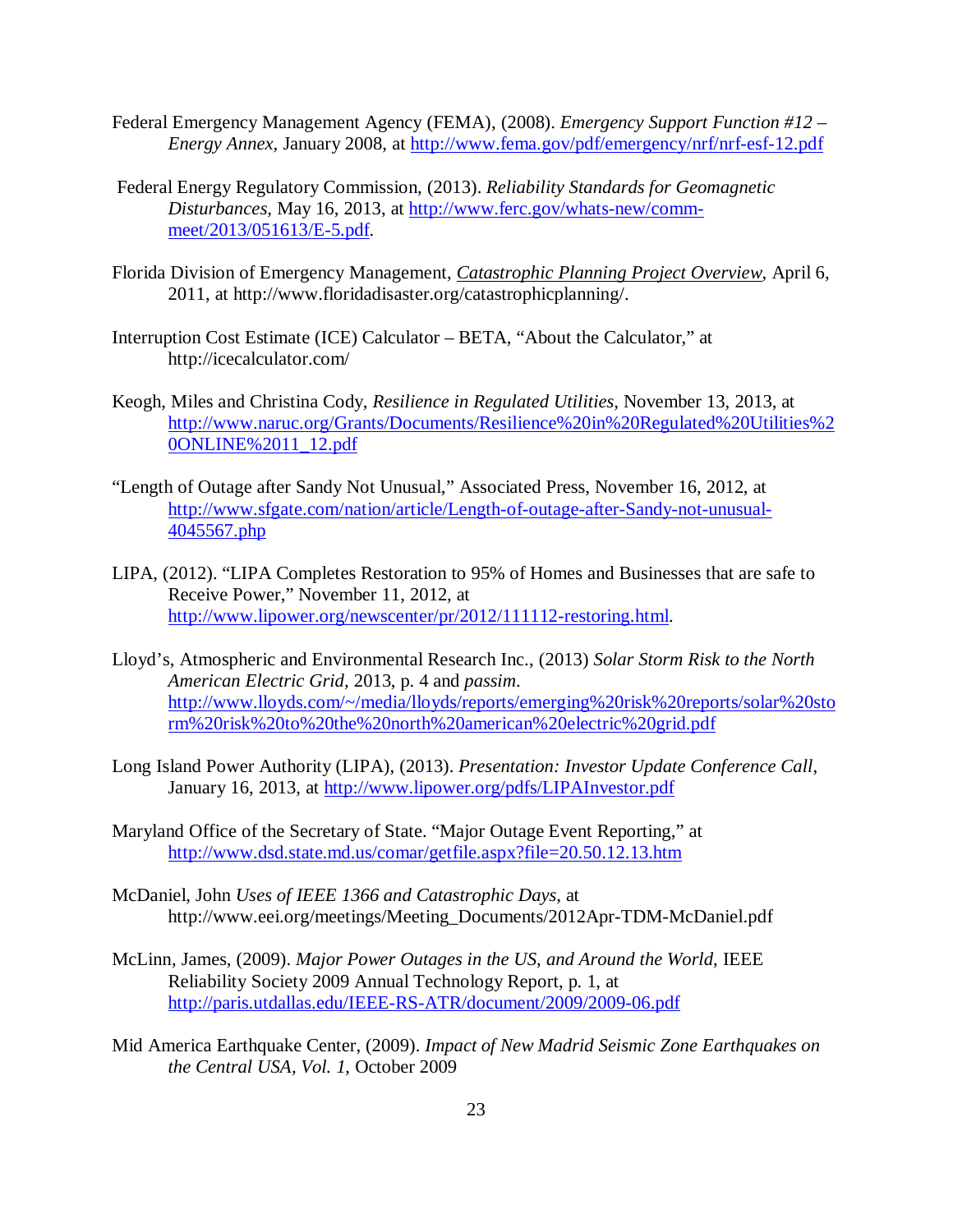- Federal Emergency Management Agency (FEMA), (2008). *Emergency Support Function #12 – Energy Annex,* January 2008, at<http://www.fema.gov/pdf/emergency/nrf/nrf-esf-12.pdf>
- Federal Energy Regulatory Commission, (2013). *Reliability Standards for Geomagnetic Disturbances*, May 16, 2013, at [http://www.ferc.gov/whats-new/comm](http://www.ferc.gov/whats-new/comm-meet/2013/051613/E-5.pdf)[meet/2013/051613/E-5.pdf.](http://www.ferc.gov/whats-new/comm-meet/2013/051613/E-5.pdf)
- Florida Division of Emergency Management, *Catastrophic Planning Project Overview*, April 6, 2011, at http://www.floridadisaster.org/catastrophicplanning/.
- Interruption Cost Estimate (ICE) Calculator BETA, "About the Calculator," at http://icecalculator.com/
- Keogh, Miles and Christina Cody, *Resilience in Regulated Utilities*, November 13, 2013, at [http://www.naruc.org/Grants/Documents/Resilience%20in%20Regulated%20Utilities%2](http://www.naruc.org/Grants/Documents/Resilience%20in%20Regulated%20Utilities%20ONLINE%2011_12.pdf) [0ONLINE%2011\\_12.pdf](http://www.naruc.org/Grants/Documents/Resilience%20in%20Regulated%20Utilities%20ONLINE%2011_12.pdf)
- "Length of Outage after Sandy Not Unusual," Associated Press, November 16, 2012, at [http://www.sfgate.com/nation/article/Length-of-outage-after-Sandy-not-unusual-](http://www.sfgate.com/nation/article/Length-of-outage-after-Sandy-not-unusual-4045567.php)[4045567.php](http://www.sfgate.com/nation/article/Length-of-outage-after-Sandy-not-unusual-4045567.php)
- LIPA, (2012). "LIPA Completes Restoration to 95% of Homes and Businesses that are safe to Receive Power," November 11, 2012, at [http://www.lipower.org/newscenter/pr/2012/111112-restoring.html.](http://www.lipower.org/newscenter/pr/2012/111112-restoring.html)
- Lloyd's, Atmospheric and Environmental Research Inc., (2013) *Solar Storm Risk to the North American Electric Grid,* 2013, p. 4 and *passim*. [http://www.lloyds.com/~/media/lloyds/reports/emerging%20risk%20reports/solar%20sto](http://www.lloyds.com/~/media/lloyds/reports/emerging%20risk%20reports/solar%20storm%20risk%20to%20the%20north%20american%20electric%20grid.pdf) [rm%20risk%20to%20the%20north%20american%20electric%20grid.pdf](http://www.lloyds.com/~/media/lloyds/reports/emerging%20risk%20reports/solar%20storm%20risk%20to%20the%20north%20american%20electric%20grid.pdf)
- Long Island Power Authority (LIPA), (2013). *Presentation: Investor Update Conference Call*, January 16, 2013, at<http://www.lipower.org/pdfs/LIPAInvestor.pdf>
- Maryland Office of the Secretary of State. "Major Outage Event Reporting," at <http://www.dsd.state.md.us/comar/getfile.aspx?file=20.50.12.13.htm>
- McDaniel, John *Uses of IEEE 1366 and Catastrophic Days*, at http://www.eei.org/meetings/Meeting\_Documents/2012Apr-TDM-McDaniel.pdf
- McLinn, James, (2009). *Major Power Outages in the US, and Around the World*, IEEE Reliability Society 2009 Annual Technology Report, p. 1, at <http://paris.utdallas.edu/IEEE-RS-ATR/document/2009/2009-06.pdf>
- Mid America Earthquake Center, (2009). *Impact of New Madrid Seismic Zone Earthquakes on the Central USA, Vol. 1*, October 2009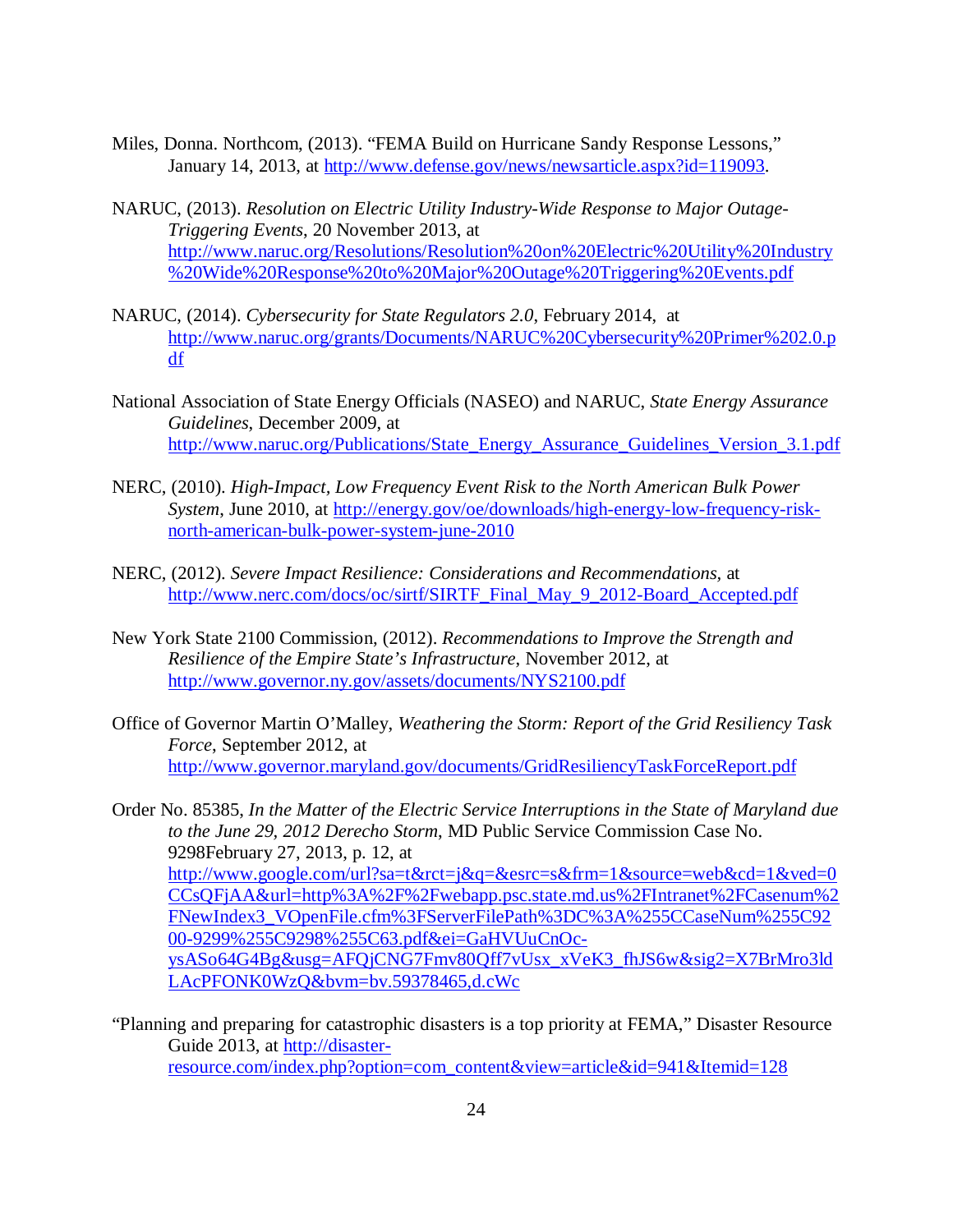- Miles, Donna. Northcom, (2013). "FEMA Build on Hurricane Sandy Response Lessons," January 14, 2013, at [http://www.defense.gov/news/newsarticle.aspx?id=119093.](http://www.defense.gov/news/newsarticle.aspx?id=119093)
- NARUC, (2013). *Resolution on Electric Utility Industry-Wide Response to Major Outage-Triggering Events*, 20 November 2013, at [http://www.naruc.org/Resolutions/Resolution%20on%20Electric%20Utility%20Industry](http://www.naruc.org/Resolutions/Resolution%20on%20Electric%20Utility%20Industry%20Wide%20Response%20to%20Major%20Outage%20Triggering%20Events.pdf) [%20Wide%20Response%20to%20Major%20Outage%20Triggering%20Events.pdf](http://www.naruc.org/Resolutions/Resolution%20on%20Electric%20Utility%20Industry%20Wide%20Response%20to%20Major%20Outage%20Triggering%20Events.pdf)
- NARUC, (2014). *Cybersecurity for State Regulators 2.0*, February 2014, at [http://www.naruc.org/grants/Documents/NARUC%20Cybersecurity%20Primer%202.0.p](http://www.naruc.org/grants/Documents/NARUC%20Cybersecurity%20Primer%202.0.pdf) [df](http://www.naruc.org/grants/Documents/NARUC%20Cybersecurity%20Primer%202.0.pdf)
- National Association of State Energy Officials (NASEO) and NARUC, *State Energy Assurance Guidelines*, December 2009, at [http://www.naruc.org/Publications/State\\_Energy\\_Assurance\\_Guidelines\\_Version\\_3.1.pdf](http://www.naruc.org/Publications/State_Energy_Assurance_Guidelines_Version_3.1.pdf)
- NERC, (2010). *High-Impact, Low Frequency Event Risk to the North American Bulk Power System*, June 2010, at [http://energy.gov/oe/downloads/high-energy-low-frequency-risk](http://energy.gov/oe/downloads/high-energy-low-frequency-risk-north-american-bulk-power-system-june-2010)[north-american-bulk-power-system-june-2010](http://energy.gov/oe/downloads/high-energy-low-frequency-risk-north-american-bulk-power-system-june-2010)
- NERC, (2012). *Severe Impact Resilience: Considerations and Recommendations,* at [http://www.nerc.com/docs/oc/sirtf/SIRTF\\_Final\\_May\\_9\\_2012-Board\\_Accepted.pdf](http://www.nerc.com/docs/oc/sirtf/SIRTF_Final_May_9_2012-Board_Accepted.pdf)
- New York State 2100 Commission, (2012). *Recommendations to Improve the Strength and Resilience of the Empire State's Infrastructure*, November 2012, at <http://www.governor.ny.gov/assets/documents/NYS2100.pdf>
- Office of Governor Martin O'Malley, *Weathering the Storm: Report of the Grid Resiliency Task Force*, September 2012, at <http://www.governor.maryland.gov/documents/GridResiliencyTaskForceReport.pdf>

Order No. 85385, *In the Matter of the Electric Service Interruptions in the State of Maryland due to the June 29, 2012 Derecho Storm*, MD Public Service Commission Case No. 9298February 27, 2013, p. 12, at [http://www.google.com/url?sa=t&rct=j&q=&esrc=s&frm=1&source=web&cd=1&ved=0](http://www.google.com/url?sa=t&rct=j&q=&esrc=s&frm=1&source=web&cd=1&ved=0CCsQFjAA&url=http%3A%2F%2Fwebapp.psc.state.md.us%2FIntranet%2FCasenum%2FNewIndex3_VOpenFile.cfm%3FServerFilePath%3DC%3A%255CCaseNum%255C9200-9299%255C9298%255C63.pdf&ei=GaHVUuCnOc-ysASo64G4Bg&usg=AFQjCNG7Fmv80Qff7vUsx_xVeK3_fhJS6w&sig2=X7BrMro3ldLAcPFONK0WzQ&bvm=bv.59378465,d.cWc) [CCsQFjAA&url=http%3A%2F%2Fwebapp.psc.state.md.us%2FIntranet%2FCasenum%2](http://www.google.com/url?sa=t&rct=j&q=&esrc=s&frm=1&source=web&cd=1&ved=0CCsQFjAA&url=http%3A%2F%2Fwebapp.psc.state.md.us%2FIntranet%2FCasenum%2FNewIndex3_VOpenFile.cfm%3FServerFilePath%3DC%3A%255CCaseNum%255C9200-9299%255C9298%255C63.pdf&ei=GaHVUuCnOc-ysASo64G4Bg&usg=AFQjCNG7Fmv80Qff7vUsx_xVeK3_fhJS6w&sig2=X7BrMro3ldLAcPFONK0WzQ&bvm=bv.59378465,d.cWc) [FNewIndex3\\_VOpenFile.cfm%3FServerFilePath%3DC%3A%255CCaseNum%255C92](http://www.google.com/url?sa=t&rct=j&q=&esrc=s&frm=1&source=web&cd=1&ved=0CCsQFjAA&url=http%3A%2F%2Fwebapp.psc.state.md.us%2FIntranet%2FCasenum%2FNewIndex3_VOpenFile.cfm%3FServerFilePath%3DC%3A%255CCaseNum%255C9200-9299%255C9298%255C63.pdf&ei=GaHVUuCnOc-ysASo64G4Bg&usg=AFQjCNG7Fmv80Qff7vUsx_xVeK3_fhJS6w&sig2=X7BrMro3ldLAcPFONK0WzQ&bvm=bv.59378465,d.cWc) [00-9299%255C9298%255C63.pdf&ei=GaHVUuCnOc](http://www.google.com/url?sa=t&rct=j&q=&esrc=s&frm=1&source=web&cd=1&ved=0CCsQFjAA&url=http%3A%2F%2Fwebapp.psc.state.md.us%2FIntranet%2FCasenum%2FNewIndex3_VOpenFile.cfm%3FServerFilePath%3DC%3A%255CCaseNum%255C9200-9299%255C9298%255C63.pdf&ei=GaHVUuCnOc-ysASo64G4Bg&usg=AFQjCNG7Fmv80Qff7vUsx_xVeK3_fhJS6w&sig2=X7BrMro3ldLAcPFONK0WzQ&bvm=bv.59378465,d.cWc)[ysASo64G4Bg&usg=AFQjCNG7Fmv80Qff7vUsx\\_xVeK3\\_fhJS6w&sig2=X7BrMro3ld](http://www.google.com/url?sa=t&rct=j&q=&esrc=s&frm=1&source=web&cd=1&ved=0CCsQFjAA&url=http%3A%2F%2Fwebapp.psc.state.md.us%2FIntranet%2FCasenum%2FNewIndex3_VOpenFile.cfm%3FServerFilePath%3DC%3A%255CCaseNum%255C9200-9299%255C9298%255C63.pdf&ei=GaHVUuCnOc-ysASo64G4Bg&usg=AFQjCNG7Fmv80Qff7vUsx_xVeK3_fhJS6w&sig2=X7BrMro3ldLAcPFONK0WzQ&bvm=bv.59378465,d.cWc) [LAcPFONK0WzQ&bvm=bv.59378465,d.cWc](http://www.google.com/url?sa=t&rct=j&q=&esrc=s&frm=1&source=web&cd=1&ved=0CCsQFjAA&url=http%3A%2F%2Fwebapp.psc.state.md.us%2FIntranet%2FCasenum%2FNewIndex3_VOpenFile.cfm%3FServerFilePath%3DC%3A%255CCaseNum%255C9200-9299%255C9298%255C63.pdf&ei=GaHVUuCnOc-ysASo64G4Bg&usg=AFQjCNG7Fmv80Qff7vUsx_xVeK3_fhJS6w&sig2=X7BrMro3ldLAcPFONK0WzQ&bvm=bv.59378465,d.cWc)

"Planning and preparing for catastrophic disasters is a top priority at FEMA," Disaster Resource Guide 2013, at [http://disaster](http://disaster-resource.com/index.php?option=com_content&view=article&id=941&Itemid=128)[resource.com/index.php?option=com\\_content&view=article&id=941&Itemid=128](http://disaster-resource.com/index.php?option=com_content&view=article&id=941&Itemid=128)